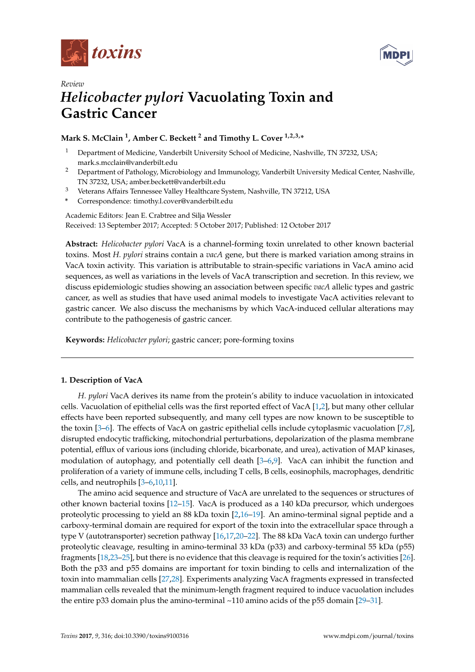



# *Review Helicobacter pylori* **Vacuolating Toxin and Gastric Cancer**

# **Mark S. McClain <sup>1</sup> , Amber C. Beckett <sup>2</sup> and Timothy L. Cover 1,2,3,\***

- <sup>1</sup> Department of Medicine, Vanderbilt University School of Medicine, Nashville, TN 37232, USA; mark.s.mcclain@vanderbilt.edu
- <sup>2</sup> Department of Pathology, Microbiology and Immunology, Vanderbilt University Medical Center, Nashville, TN 37232, USA; amber.beckett@vanderbilt.edu
- <sup>3</sup> Veterans Affairs Tennessee Valley Healthcare System, Nashville, TN 37212, USA
- **\*** Correspondence: timothy.l.cover@vanderbilt.edu

Academic Editors: Jean E. Crabtree and Silja Wessler Received: 13 September 2017; Accepted: 5 October 2017; Published: 12 October 2017

**Abstract:** *Helicobacter pylori* VacA is a channel-forming toxin unrelated to other known bacterial toxins. Most *H. pylori* strains contain a *vacA* gene, but there is marked variation among strains in VacA toxin activity. This variation is attributable to strain-specific variations in VacA amino acid sequences, as well as variations in the levels of VacA transcription and secretion. In this review, we discuss epidemiologic studies showing an association between specific *vacA* allelic types and gastric cancer, as well as studies that have used animal models to investigate VacA activities relevant to gastric cancer. We also discuss the mechanisms by which VacA-induced cellular alterations may contribute to the pathogenesis of gastric cancer.

**Keywords:** *Helicobacter pylori*; gastric cancer; pore-forming toxins

## **1. Description of VacA**

*H. pylori* VacA derives its name from the protein's ability to induce vacuolation in intoxicated cells. Vacuolation of epithelial cells was the first reported effect of VacA [\[1,](#page-7-0)[2\]](#page-7-1), but many other cellular effects have been reported subsequently, and many cell types are now known to be susceptible to the toxin [\[3](#page-7-2)[–6\]](#page-7-3). The effects of VacA on gastric epithelial cells include cytoplasmic vacuolation [\[7,](#page-7-4)[8\]](#page-7-5), disrupted endocytic trafficking, mitochondrial perturbations, depolarization of the plasma membrane potential, efflux of various ions (including chloride, bicarbonate, and urea), activation of MAP kinases, modulation of autophagy, and potentially cell death [\[3](#page-7-2)[–6,](#page-7-3)[9\]](#page-7-6). VacA can inhibit the function and proliferation of a variety of immune cells, including T cells, B cells, eosinophils, macrophages, dendritic cells, and neutrophils [\[3–](#page-7-2)[6,](#page-7-3)[10,](#page-7-7)[11\]](#page-7-8).

The amino acid sequence and structure of VacA are unrelated to the sequences or structures of other known bacterial toxins [\[12–](#page-8-0)[15\]](#page-8-1). VacA is produced as a 140 kDa precursor, which undergoes proteolytic processing to yield an 88 kDa toxin [\[2](#page-7-1)[,16](#page-8-2)[–19\]](#page-8-3). An amino-terminal signal peptide and a carboxy-terminal domain are required for export of the toxin into the extracellular space through a type V (autotransporter) secretion pathway [\[16,](#page-8-2)[17,](#page-8-4)[20–](#page-8-5)[22\]](#page-8-6). The 88 kDa VacA toxin can undergo further proteolytic cleavage, resulting in amino-terminal 33 kDa (p33) and carboxy-terminal 55 kDa (p55) fragments [\[18,](#page-8-7)[23](#page-8-8)[–25\]](#page-8-9), but there is no evidence that this cleavage is required for the toxin's activities [\[26\]](#page-8-10). Both the p33 and p55 domains are important for toxin binding to cells and internalization of the toxin into mammalian cells [\[27](#page-8-11)[,28\]](#page-8-12). Experiments analyzing VacA fragments expressed in transfected mammalian cells revealed that the minimum-length fragment required to induce vacuolation includes the entire p33 domain plus the amino-terminal  $\sim$ 110 amino acids of the p55 domain [\[29](#page-8-13)[–31\]](#page-8-14).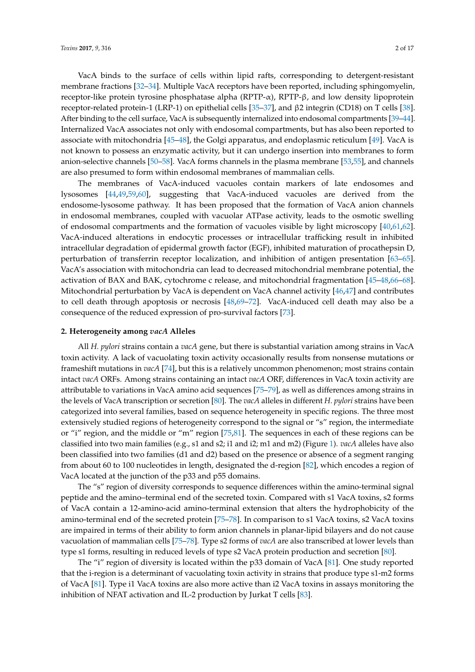VacA binds to the surface of cells within lipid rafts, corresponding to detergent-resistant membrane fractions [\[32–](#page-9-0)[34\]](#page-9-1). Multiple VacA receptors have been reported, including sphingomyelin, receptor-like protein tyrosine phosphatase alpha  $(RPTP-α)$ ,  $RPTP-β$ , and low density lipoprotein receptor-related protein-1 (LRP-1) on epithelial cells [\[35–](#page-9-2)[37\]](#page-9-3), and β2 integrin (CD18) on T cells [\[38\]](#page-9-4). After binding to the cell surface, VacA is subsequently internalized into endosomal compartments [\[39](#page-9-5)[–44\]](#page-9-6). Internalized VacA associates not only with endosomal compartments, but has also been reported to associate with mitochondria [\[45](#page-9-7)[–48\]](#page-9-8), the Golgi apparatus, and endoplasmic reticulum [\[49\]](#page-9-9). VacA is not known to possess an enzymatic activity, but it can undergo insertion into membranes to form anion-selective channels [\[50](#page-9-10)[–58\]](#page-10-0). VacA forms channels in the plasma membrane [\[53,](#page-10-1)[55\]](#page-10-2), and channels are also presumed to form within endosomal membranes of mammalian cells.

The membranes of VacA-induced vacuoles contain markers of late endosomes and lysosomes [\[44,](#page-9-6)[49,](#page-9-9)[59,](#page-10-3)[60\]](#page-10-4), suggesting that VacA-induced vacuoles are derived from the endosome-lysosome pathway. It has been proposed that the formation of VacA anion channels in endosomal membranes, coupled with vacuolar ATPase activity, leads to the osmotic swelling of endosomal compartments and the formation of vacuoles visible by light microscopy [\[40,](#page-9-11)[61,](#page-10-5)[62\]](#page-10-6). VacA-induced alterations in endocytic processes or intracellular trafficking result in inhibited intracellular degradation of epidermal growth factor (EGF), inhibited maturation of procathepsin D, perturbation of transferrin receptor localization, and inhibition of antigen presentation [\[63–](#page-10-7)[65\]](#page-10-8). VacA's association with mitochondria can lead to decreased mitochondrial membrane potential, the activation of BAX and BAK, cytochrome c release, and mitochondrial fragmentation [\[45](#page-9-7)[–48,](#page-9-8)[66–](#page-10-9)[68\]](#page-10-10). Mitochondrial perturbation by VacA is dependent on VacA channel activity [\[46](#page-9-12)[,47\]](#page-9-13) and contributes to cell death through apoptosis or necrosis [\[48,](#page-9-8)[69–](#page-11-0)[72\]](#page-11-1). VacA-induced cell death may also be a consequence of the reduced expression of pro-survival factors [\[73\]](#page-11-2).

#### **2. Heterogeneity among** *vacA* **Alleles**

All *H. pylori* strains contain a *vacA* gene, but there is substantial variation among strains in VacA toxin activity. A lack of vacuolating toxin activity occasionally results from nonsense mutations or frameshift mutations in *vacA* [\[74\]](#page-11-3), but this is a relatively uncommon phenomenon; most strains contain intact *vacA* ORFs. Among strains containing an intact *vacA* ORF, differences in VacA toxin activity are attributable to variations in VacA amino acid sequences [\[75–](#page-11-4)[79\]](#page-11-5), as well as differences among strains in the levels of VacA transcription or secretion [\[80\]](#page-11-6). The *vacA* alleles in different *H. pylori* strains have been categorized into several families, based on sequence heterogeneity in specific regions. The three most extensively studied regions of heterogeneity correspond to the signal or "s" region, the intermediate or "i" region, and the middle or "m" region [\[75](#page-11-4)[,81\]](#page-11-7). The sequences in each of these regions can be classified into two main families (e.g., s1 and s2; i1 and i2; m1 and m2) (Figure [1\)](#page-2-0). *vacA* alleles have also been classified into two families (d1 and d2) based on the presence or absence of a segment ranging from about 60 to 100 nucleotides in length, designated the d-region [\[82\]](#page-11-8), which encodes a region of VacA located at the junction of the p33 and p55 domains.

The "s" region of diversity corresponds to sequence differences within the amino-terminal signal peptide and the amino–terminal end of the secreted toxin. Compared with s1 VacA toxins, s2 forms of VacA contain a 12-amino-acid amino-terminal extension that alters the hydrophobicity of the amino-terminal end of the secreted protein [\[75](#page-11-4)[–78\]](#page-11-9). In comparison to s1 VacA toxins, s2 VacA toxins are impaired in terms of their ability to form anion channels in planar-lipid bilayers and do not cause vacuolation of mammalian cells [\[75–](#page-11-4)[78\]](#page-11-9). Type s2 forms of *vacA* are also transcribed at lower levels than type s1 forms, resulting in reduced levels of type s2 VacA protein production and secretion [\[80\]](#page-11-6).

The "i" region of diversity is located within the p33 domain of VacA [\[81\]](#page-11-7). One study reported that the i-region is a determinant of vacuolating toxin activity in strains that produce type s1-m2 forms of VacA [\[81\]](#page-11-7). Type i1 VacA toxins are also more active than i2 VacA toxins in assays monitoring the inhibition of NFAT activation and IL-2 production by Jurkat T cells [\[83\]](#page-11-10).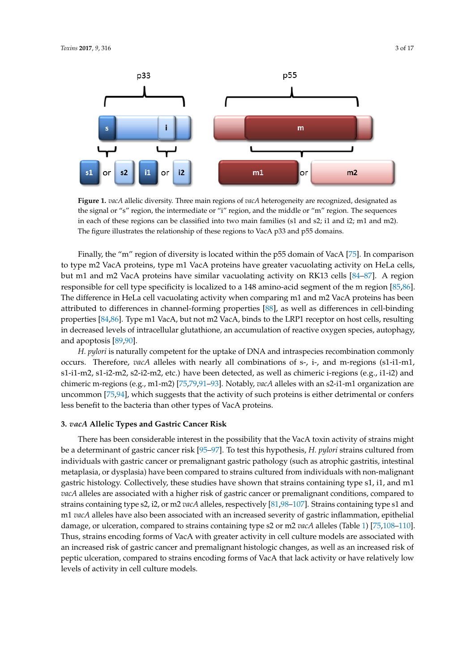<span id="page-2-0"></span>

Figure 1. *vacA* allelic diversity. Three main regions of *vacA* heterogeneity are recognized, designated as the signal or "s" region, the intermediate or "i" region, and the middle or "m" region. The sequences in each of these regions can be classified into two main families (s1 and s2; i1 and i2; m1 and m2). The figure illustrates the relationship of these regions to VacA p33 and p55 domains.

Finally, the "m" region of diversity is located within the p55 domain of VacA [75]. In comparison to type m2 VacA proteins, type m1 VacA proteins have greater vacuolating activity on HeLa cells, but m1 and m2 VacA proteins have similar vacuolating activity on RK13 cells [84–87]. A region responsible for cell type specificity is localized [to](#page-11-13) a 148 amino-acid segment of the m region [85,86]. The difference in HeLa cell vacuolating activity when comparing m1 and m2 VacA proteins has been attributed to differences in channel-forming properties [\[88\]](#page-12-0), as well as differences in cell-binding properties [84,86]. Type m1 VacA, but not m2 VacA, binds to the LRP1 receptor on host cells, resulting in decreased levels of intracellular glutathione, an accumulation of reactive oxygen species, autophagy, and apoptosis  $[89,90]$ .

*H. pylori* is naturally competent for the uptake of DNA and intraspecies recombination commonly occurs. Therefore, *vacA* alleles with nearly all combinations of s-, i-, and m-regions (s1-i1-m1, s1-i1-m2, s1-i2-m2, s2-i2-m2, etc.) have been detected, as well as chimeric i-regions (e.g., i1-i2) and chimeric m-regions (e.g., [m1](#page-11-4)-m2) [75,79,91–93]. Notably, *v[acA](#page-12-3)* alleles with an s2-i1-m1 organization are uncommon [75,94], which suggests that the activity of such proteins is either detrimental or confers less benefit to the bacteria than other types of VacA proteins.

# attributed to differences in channel-forming properties [88], as well as differences in cell-binding **3.** *vacA* **Allelic Types and Gastric Cancer Risk**

There has been considerable interest in the possibility that the VacA toxin activity of strains might be a determinant of gastric cancer risk [\[95](#page-12-6)[–97\]](#page-12-7). To test this hypothesis, *H. pylori* strains cultured from individuals with gastric cancer or premalignant gastric pathology (such as atrophic gastritis, intestinal metaplasia, or dysplasia) have been compared to strains cultured from individuals with non-malignant gastric histology. Collectively, these studies have shown that strains containing type s1, i1, and m1 *vacA* alleles are associated with a higher risk of gastric cancer or premalignant conditions, compared to strains containing type s2, i2, or m2 *vacA* alleles, respectively [81,98[–107\]](#page-13-0). Strains containing type s1 and m1 *vacA* alleles have also been associated with an increased severity of gastric inflammation, epithelial damage, or ulceration, compared to strains containing type s2 or m2 *vacA* alleles (Table [1\)](#page-3-0) [\[75,](#page-11-4)108-[110\]](#page-13-2). an increased risk of gastric cancer and premalignant histologic changes, as well as an increased risk of peptic ulceration, compared to strains encoding forms of VacA that lack activity or have relatively low levels of activity in cell culture models. Thus, strains encoding forms of VacA with greater activity in cell culture models are associated with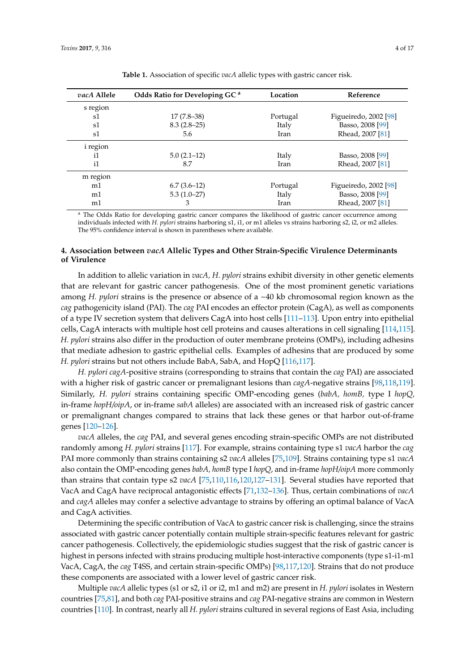<span id="page-3-0"></span>

| <i>vacA</i> Allele | Odds Ratio for Developing GC <sup>a</sup> | Location | Reference             |
|--------------------|-------------------------------------------|----------|-----------------------|
| s region           |                                           |          |                       |
| s1                 | $17(7.8-38)$                              | Portugal | Figueiredo, 2002 [98] |
| s1                 | $8.3(2.8-25)$                             | Italy    | Basso, 2008 [99]      |
| s1                 | 5.6                                       | Iran     | Rhead, 2007 [81]      |
| i region           |                                           |          |                       |
| i1                 | $5.0(2.1-12)$                             | Italy    | Basso, 2008 [99]      |
| i1                 | 8.7                                       | Iran     | Rhead, 2007 [81]      |
| m region           |                                           |          |                       |
| m1                 | $6.7(3.6-12)$                             | Portugal | Figueiredo, 2002 [98] |
| m1                 | $5.3(1.0-27)$                             | Italy    | Basso, 2008 [99]      |
| m1                 | 3                                         | Iran     | Rhead, 2007 [81]      |

| Table 1. Association of specific vacA allelic types with gastric cancer risk. |  |  |
|-------------------------------------------------------------------------------|--|--|
|                                                                               |  |  |

<sup>a</sup> The Odds Ratio for developing gastric cancer compares the likelihood of gastric cancer occurrence among individuals infected with *H. pylori* strains harboring s1, i1, or m1 alleles vs strains harboring s2, i2, or m2 alleles. The 95% confidence interval is shown in parentheses where available.

## **4. Association between** *vacA* **Allelic Types and Other Strain-Specific Virulence Determinants of Virulence**

In addition to allelic variation in *vacA, H. pylori* strains exhibit diversity in other genetic elements that are relevant for gastric cancer pathogenesis. One of the most prominent genetic variations among *H. pylori* strains is the presence or absence of a ~40 kb chromosomal region known as the *cag* pathogenicity island (PAI). The *cag* PAI encodes an effector protein (CagA), as well as components of a type IV secretion system that delivers CagA into host cells [\[111](#page-13-3)[–113\]](#page-13-4). Upon entry into epithelial cells, CagA interacts with multiple host cell proteins and causes alterations in cell signaling [\[114](#page-13-5)[,115\]](#page-13-6). *H. pylori* strains also differ in the production of outer membrane proteins (OMPs), including adhesins that mediate adhesion to gastric epithelial cells. Examples of adhesins that are produced by some *H. pylori* strains but not others include BabA, SabA, and HopQ [\[116](#page-13-7)[,117\]](#page-13-8).

*H. pylori cagA*-positive strains (corresponding to strains that contain the *cag* PAI) are associated with a higher risk of gastric cancer or premalignant lesions than *cagA*-negative strains [\[98,](#page-12-8)[118,](#page-13-9)[119\]](#page-13-10). Similarly, *H. pylori* strains containing specific OMP-encoding genes (*babA, homB,* type I *hopQ,* in-frame *hopH/oipA*, or in-frame *sabA* alleles) are associated with an increased risk of gastric cancer or premalignant changes compared to strains that lack these genes or that harbor out-of-frame genes [\[120](#page-13-11)[–126\]](#page-14-0).

*vacA* alleles, the *cag* PAI, and several genes encoding strain-specific OMPs are not distributed randomly among *H. pylori* strains [\[117\]](#page-13-8). For example, strains containing type s1 *vacA* harbor the *cag* PAI more commonly than strains containing s2 *vacA* alleles [\[75,](#page-11-4)[109\]](#page-13-12). Strains containing type s1 *vacA* also contain the OMP-encoding genes *babA, homB* type I *hopQ*, and in-frame *hopH/oipA* more commonly than strains that contain type s2 *vacA* [\[75](#page-11-4)[,110](#page-13-2)[,116](#page-13-7)[,120,](#page-13-11)[127–](#page-14-1)[131\]](#page-14-2). Several studies have reported that VacA and CagA have reciprocal antagonistic effects [\[71](#page-11-15)[,132](#page-14-3)[–136\]](#page-14-4). Thus, certain combinations of *vacA* and *cagA* alleles may confer a selective advantage to strains by offering an optimal balance of VacA and CagA activities.

Determining the specific contribution of VacA to gastric cancer risk is challenging, since the strains associated with gastric cancer potentially contain multiple strain-specific features relevant for gastric cancer pathogenesis. Collectively, the epidemiologic studies suggest that the risk of gastric cancer is highest in persons infected with strains producing multiple host-interactive components (type s1-i1-m1 VacA, CagA, the *cag* T4SS, and certain strain-specific OMPs) [\[98,](#page-12-8)[117,](#page-13-8)[120\]](#page-13-11). Strains that do not produce these components are associated with a lower level of gastric cancer risk.

Multiple *vacA* allelic types (s1 or s2, i1 or i2, m1 and m2) are present in *H. pylori* isolates in Western countries [\[75](#page-11-4)[,81\]](#page-11-7), and both *cag* PAI-positive strains and *cag* PAI-negative strains are common in Western countries [\[110\]](#page-13-2). In contrast, nearly all *H. pylori* strains cultured in several regions of East Asia, including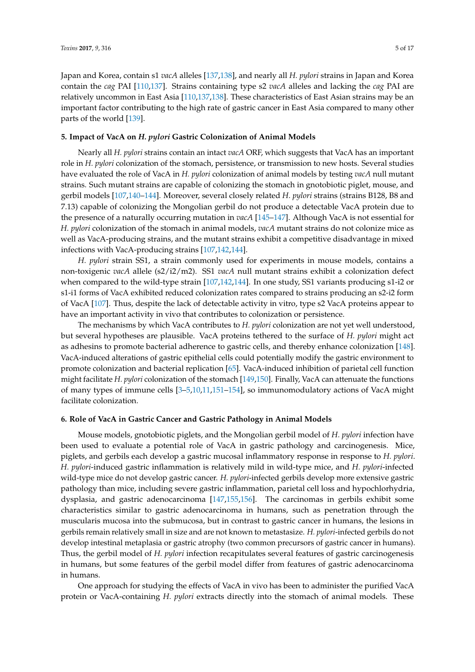Japan and Korea, contain s1 *vacA* alleles [\[137,](#page-14-5)[138\]](#page-14-6), and nearly all *H. pylori* strains in Japan and Korea contain the *cag* PAI [\[110](#page-13-2)[,137\]](#page-14-5). Strains containing type s2 *vacA* alleles and lacking the *cag* PAI are relatively uncommon in East Asia [\[110](#page-13-2)[,137](#page-14-5)[,138\]](#page-14-6). These characteristics of East Asian strains may be an important factor contributing to the high rate of gastric cancer in East Asia compared to many other parts of the world [\[139\]](#page-14-7).

#### **5. Impact of VacA on** *H. pylori* **Gastric Colonization of Animal Models**

Nearly all *H. pylori* strains contain an intact *vacA* ORF, which suggests that VacA has an important role in *H. pylori* colonization of the stomach, persistence, or transmission to new hosts. Several studies have evaluated the role of VacA in *H. pylori* colonization of animal models by testing *vacA* null mutant strains. Such mutant strains are capable of colonizing the stomach in gnotobiotic piglet, mouse, and gerbil models [\[107,](#page-13-0)[140](#page-14-8)[–144\]](#page-15-0). Moreover, several closely related *H. pylori* strains (strains B128, B8 and 7.13) capable of colonizing the Mongolian gerbil do not produce a detectable VacA protein due to the presence of a naturally occurring mutation in *vacA* [\[145](#page-15-1)[–147\]](#page-15-2). Although VacA is not essential for *H. pylori* colonization of the stomach in animal models, *vacA* mutant strains do not colonize mice as well as VacA-producing strains, and the mutant strains exhibit a competitive disadvantage in mixed infections with VacA-producing strains [\[107](#page-13-0)[,142](#page-15-3)[,144\]](#page-15-0).

*H. pylori* strain SS1, a strain commonly used for experiments in mouse models, contains a non-toxigenic *vacA* allele (s2/i2/m2). SS1 *vacA* null mutant strains exhibit a colonization defect when compared to the wild-type strain [\[107](#page-13-0)[,142](#page-15-3)[,144\]](#page-15-0). In one study, SS1 variants producing s1-i2 or s1-i1 forms of VacA exhibited reduced colonization rates compared to strains producing an s2-i2 form of VacA [\[107\]](#page-13-0). Thus, despite the lack of detectable activity in vitro, type s2 VacA proteins appear to have an important activity in vivo that contributes to colonization or persistence.

The mechanisms by which VacA contributes to *H. pylori* colonization are not yet well understood, but several hypotheses are plausible. VacA proteins tethered to the surface of *H. pylori* might act as adhesins to promote bacterial adherence to gastric cells, and thereby enhance colonization [\[148\]](#page-15-4). VacA-induced alterations of gastric epithelial cells could potentially modify the gastric environment to promote colonization and bacterial replication [\[65\]](#page-10-8). VacA-induced inhibition of parietal cell function might facilitate *H. pylori* colonization of the stomach [\[149](#page-15-5)[,150\]](#page-15-6). Finally, VacA can attenuate the functions of many types of immune cells [\[3–](#page-7-2)[5,](#page-7-9)[10,](#page-7-7)[11,](#page-7-8)[151](#page-15-7)[–154\]](#page-15-8), so immunomodulatory actions of VacA might facilitate colonization.

#### **6. Role of VacA in Gastric Cancer and Gastric Pathology in Animal Models**

Mouse models, gnotobiotic piglets, and the Mongolian gerbil model of *H. pylori* infection have been used to evaluate a potential role of VacA in gastric pathology and carcinogenesis. Mice, piglets, and gerbils each develop a gastric mucosal inflammatory response in response to *H. pylori*. *H. pylori*-induced gastric inflammation is relatively mild in wild-type mice, and *H. pylori*-infected wild-type mice do not develop gastric cancer. *H. pylori*-infected gerbils develop more extensive gastric pathology than mice, including severe gastric inflammation, parietal cell loss and hypochlorhydria, dysplasia, and gastric adenocarcinoma [\[147](#page-15-2)[,155](#page-15-9)[,156\]](#page-15-10). The carcinomas in gerbils exhibit some characteristics similar to gastric adenocarcinoma in humans, such as penetration through the muscularis mucosa into the submucosa, but in contrast to gastric cancer in humans, the lesions in gerbils remain relatively small in size and are not known to metastasize. *H. pylori*-infected gerbils do not develop intestinal metaplasia or gastric atrophy (two common precursors of gastric cancer in humans). Thus, the gerbil model of *H. pylori* infection recapitulates several features of gastric carcinogenesis in humans, but some features of the gerbil model differ from features of gastric adenocarcinoma in humans.

One approach for studying the effects of VacA in vivo has been to administer the purified VacA protein or VacA-containing *H. pylori* extracts directly into the stomach of animal models. These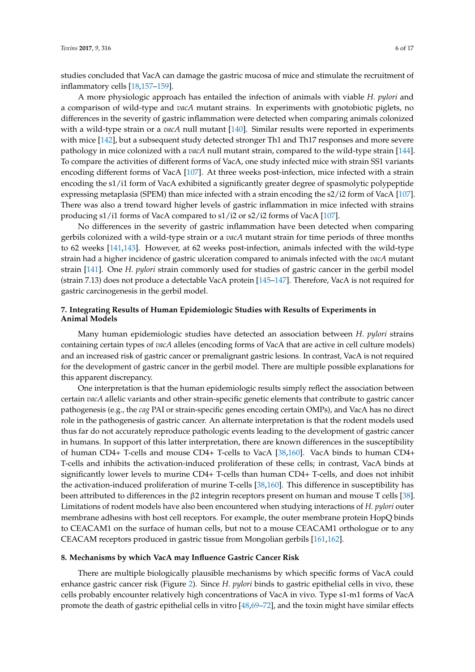studies concluded that VacA can damage the gastric mucosa of mice and stimulate the recruitment of inflammatory cells [\[18](#page-8-7)[,157–](#page-15-11)[159\]](#page-15-12).

A more physiologic approach has entailed the infection of animals with viable *H. pylori* and a comparison of wild-type and *vacA* mutant strains. In experiments with gnotobiotic piglets, no differences in the severity of gastric inflammation were detected when comparing animals colonized with a wild-type strain or a *vacA* null mutant [\[140\]](#page-14-8). Similar results were reported in experiments with mice [\[142\]](#page-15-3), but a subsequent study detected stronger Th1 and Th17 responses and more severe pathology in mice colonized with a *vacA* null mutant strain, compared to the wild-type strain [\[144\]](#page-15-0). To compare the activities of different forms of VacA, one study infected mice with strain SS1 variants encoding different forms of VacA [\[107\]](#page-13-0). At three weeks post-infection, mice infected with a strain encoding the s1/i1 form of VacA exhibited a significantly greater degree of spasmolytic polypeptide expressing metaplasia (SPEM) than mice infected with a strain encoding the s2/i2 form of VacA [\[107\]](#page-13-0). There was also a trend toward higher levels of gastric inflammation in mice infected with strains producing s1/i1 forms of VacA compared to s1/i2 or s2/i2 forms of VacA [\[107\]](#page-13-0).

No differences in the severity of gastric inflammation have been detected when comparing gerbils colonized with a wild-type strain or a *vacA* mutant strain for time periods of three months to 62 weeks [\[141](#page-14-9)[,143\]](#page-15-13). However, at 62 weeks post-infection, animals infected with the wild-type strain had a higher incidence of gastric ulceration compared to animals infected with the *vacA* mutant strain [\[141\]](#page-14-9). One *H. pylori* strain commonly used for studies of gastric cancer in the gerbil model (strain 7.13) does not produce a detectable VacA protein [\[145](#page-15-1)[–147\]](#page-15-2). Therefore, VacA is not required for gastric carcinogenesis in the gerbil model.

## **7. Integrating Results of Human Epidemiologic Studies with Results of Experiments in Animal Models**

Many human epidemiologic studies have detected an association between *H. pylori* strains containing certain types of *vacA* alleles (encoding forms of VacA that are active in cell culture models) and an increased risk of gastric cancer or premalignant gastric lesions. In contrast, VacA is not required for the development of gastric cancer in the gerbil model. There are multiple possible explanations for this apparent discrepancy.

One interpretation is that the human epidemiologic results simply reflect the association between certain *vacA* allelic variants and other strain-specific genetic elements that contribute to gastric cancer pathogenesis (e.g., the *cag* PAI or strain-specific genes encoding certain OMPs), and VacA has no direct role in the pathogenesis of gastric cancer. An alternate interpretation is that the rodent models used thus far do not accurately reproduce pathologic events leading to the development of gastric cancer in humans. In support of this latter interpretation, there are known differences in the susceptibility of human CD4+ T-cells and mouse CD4+ T-cells to VacA [\[38,](#page-9-4)[160\]](#page-15-14). VacA binds to human CD4+ T-cells and inhibits the activation-induced proliferation of these cells; in contrast, VacA binds at significantly lower levels to murine CD4+ T-cells than human CD4+ T-cells, and does not inhibit the activation-induced proliferation of murine T-cells [\[38,](#page-9-4)[160\]](#page-15-14). This difference in susceptibility has been attributed to differences in the β2 integrin receptors present on human and mouse T cells [\[38\]](#page-9-4). Limitations of rodent models have also been encountered when studying interactions of *H. pylori* outer membrane adhesins with host cell receptors. For example, the outer membrane protein HopQ binds to CEACAM1 on the surface of human cells, but not to a mouse CEACAM1 orthologue or to any CEACAM receptors produced in gastric tissue from Mongolian gerbils [\[161,](#page-16-0)[162\]](#page-16-1).

#### **8. Mechanisms by which VacA may Influence Gastric Cancer Risk**

There are multiple biologically plausible mechanisms by which specific forms of VacA could enhance gastric cancer risk (Figure [2\)](#page-6-0). Since *H. pylori* binds to gastric epithelial cells in vivo, these cells probably encounter relatively high concentrations of VacA in vivo. Type s1-m1 forms of VacA promote the death of gastric epithelial cells in vitro [\[48](#page-9-8)[,69–](#page-11-0)[72\]](#page-11-1), and the toxin might have similar effects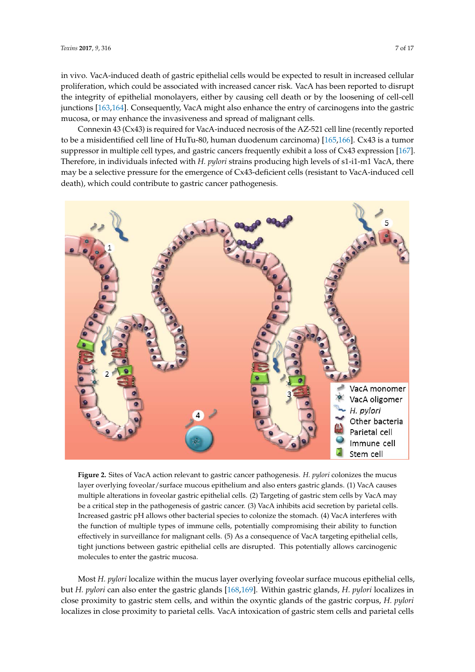in vivo. VacA-induced death of gastric epithelial cells would be expected to result in increased cellular in vivo. VacA-induced death of gastric epithelial cells would be expected to result in increased proliferation, which could be associated with increased cancer risk. VacA has been reported to disrupt the integrity of epithelial monolayers, either by causing cell death or by the loosening of cell-cell junctions [\[163](#page-16-2)[,164\]](#page-16-3). Consequently, VacA might also enhance the entry of carcinogens into the gastric mucosa, or may enhance the invasiveness and spread of malignant cells.

Connexin 43 (Cx43) is required for VacA-induced necrosis of the AZ-521 cell line (recently reported Connexin 43 (Cx43) is required for VacA-induced necrosis of the AZ-521 cell line (recently to be a misidentified cell line of HuTu-80, human duodenum carcinoma) [\[165](#page-16-4)[,166\]](#page-16-5). Cx43 is a tumor suppressor in multiple cell types, and gastric cancers frequently exhibit a loss of  $Cx43$  expression [\[167\]](#page-16-6). Therefore, in individuals infected with *H. pylori* strains producing high levels of s1-i1-m1 VacA, there may be a selective pressure for the emergence of Cx43-deficient cells (resistant to VacA-induced cell death), which could contribute to gastric cancer pathogenesis.

<span id="page-6-0"></span>

Figure 2. Sites of VacA action relevant to gastric cancer pathogenesis. H. pylori colonizes the mucus layer overlying foveolar/surface mucous epithelium and also enters gastric glands. (1) VacA causes layer overlying foveolar/surface mucous epithelium and also enters gastric glands. (1) VacA causes multiple alterations in foveolar gastric epithelial cells. (2) Targeting of gastric stem cells by VacA may multiple alterations in foveolar gastric epithelial cells. (2) Targeting of gastric stem cells by VacA may be a critical step in the pathogenesis of gastric cancer. (3) VacA inhibits acid secretion by parietal cells. be a critical step in the pathogenesis of gastric cancer. (3) VacA inhibits acid secretion by parietal cells. Increased gastric pH allows other bacterial species to colonize the stomach. (4) VacA interferes with Increased gastric pH allows other bacterial species to colonize the stomach. (4) VacA interferes with the function of multiple types of immune cells, potentially compromising their ability to function the function of multiple types of immune cells, potentially compromising their ability to function effectively in surveillance for malignant cells. (5) As a consequence of VacA targeting epithelial cells, effectively in surveillance for malignant cells. (5) As a consequence of VacA targeting epithelial cells, tight junctions between gastric epithelial cells are disrupted. This potentially allows carcinogenic tight junctions between gastric epithelial cells are disrupted. This potentially allows carcinogenic molecules to enter the gastric mucosa. molecules to enter the gastric mucosa.

Most *H. pylori* localize within the mucus layer overlying foveolar surface mucous epithelial cells, but *H. pylori* can also enter the gastric glands [\[168](#page-16-7)[,169\]](#page-16-8). Within gastric glands, *H. pylori* localizes in close proximity to gastric stem cells, and within the oxyntic glands of the gastric corpus, *H. pylori* localizes in close proximity to parietal cells. VacA intoxication of gastric stem cells and parietal cells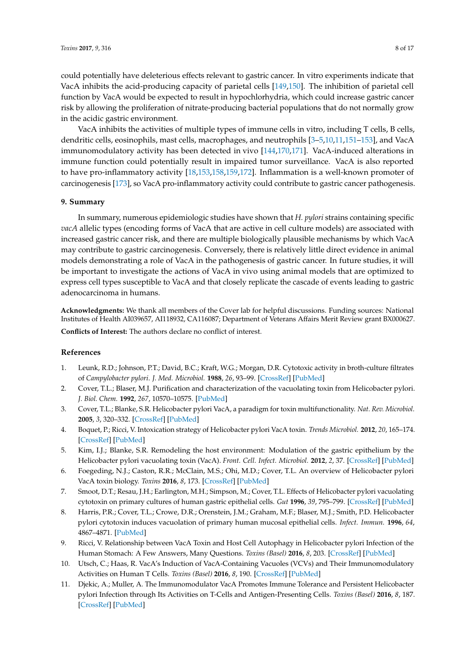could potentially have deleterious effects relevant to gastric cancer. In vitro experiments indicate that VacA inhibits the acid-producing capacity of parietal cells [\[149](#page-15-5)[,150\]](#page-15-6). The inhibition of parietal cell function by VacA would be expected to result in hypochlorhydria, which could increase gastric cancer risk by allowing the proliferation of nitrate-producing bacterial populations that do not normally grow in the acidic gastric environment.

VacA inhibits the activities of multiple types of immune cells in vitro, including T cells, B cells, dendritic cells, eosinophils, mast cells, macrophages, and neutrophils [\[3](#page-7-2)[–5,](#page-7-9)[10,](#page-7-7)[11,](#page-7-8)[151–](#page-15-7)[153\]](#page-15-15), and VacA immunomodulatory activity has been detected in vivo [\[144](#page-15-0)[,170,](#page-16-9)[171\]](#page-16-10). VacA-induced alterations in immune function could potentially result in impaired tumor surveillance. VacA is also reported to have pro-inflammatory activity [\[18,](#page-8-7)[153,](#page-15-15)[158,](#page-15-16)[159,](#page-15-12)[172\]](#page-16-11). Inflammation is a well-known promoter of carcinogenesis [\[173\]](#page-16-12), so VacA pro-inflammatory activity could contribute to gastric cancer pathogenesis.

#### **9. Summary**

In summary, numerous epidemiologic studies have shown that *H. pylori* strains containing specific *vacA* allelic types (encoding forms of VacA that are active in cell culture models) are associated with increased gastric cancer risk, and there are multiple biologically plausible mechanisms by which VacA may contribute to gastric carcinogenesis. Conversely, there is relatively little direct evidence in animal models demonstrating a role of VacA in the pathogenesis of gastric cancer. In future studies, it will be important to investigate the actions of VacA in vivo using animal models that are optimized to express cell types susceptible to VacA and that closely replicate the cascade of events leading to gastric adenocarcinoma in humans.

**Acknowledgments:** We thank all members of the Cover lab for helpful discussions. Funding sources: National Institutes of Health AI039657, AI118932, CA116087; Department of Veterans Affairs Merit Review grant BX000627.

**Conflicts of Interest:** The authors declare no conflict of interest.

#### **References**

- <span id="page-7-0"></span>1. Leunk, R.D.; Johnson, P.T.; David, B.C.; Kraft, W.G.; Morgan, D.R. Cytotoxic activity in broth-culture filtrates of *Campylobacter pylori*. *J. Med. Microbiol.* **1988**, *26*, 93–99. [\[CrossRef\]](http://dx.doi.org/10.1099/00222615-26-2-93) [\[PubMed\]](http://www.ncbi.nlm.nih.gov/pubmed/3385767)
- <span id="page-7-1"></span>2. Cover, T.L.; Blaser, M.J. Purification and characterization of the vacuolating toxin from Helicobacter pylori. *J. Biol. Chem.* **1992**, *267*, 10570–10575. [\[PubMed\]](http://www.ncbi.nlm.nih.gov/pubmed/1587837)
- <span id="page-7-2"></span>3. Cover, T.L.; Blanke, S.R. Helicobacter pylori VacA, a paradigm for toxin multifunctionality. *Nat. Rev. Microbiol.* **2005**, *3*, 320–332. [\[CrossRef\]](http://dx.doi.org/10.1038/nrmicro1095) [\[PubMed\]](http://www.ncbi.nlm.nih.gov/pubmed/15759043)
- 4. Boquet, P.; Ricci, V. Intoxication strategy of Helicobacter pylori VacA toxin. *Trends Microbiol.* **2012**, *20*, 165–174. [\[CrossRef\]](http://dx.doi.org/10.1016/j.tim.2012.01.008) [\[PubMed\]](http://www.ncbi.nlm.nih.gov/pubmed/22364673)
- <span id="page-7-9"></span>5. Kim, I.J.; Blanke, S.R. Remodeling the host environment: Modulation of the gastric epithelium by the Helicobacter pylori vacuolating toxin (VacA). *Front. Cell. Infect. Microbiol.* **2012**, *2*, 37. [\[CrossRef\]](http://dx.doi.org/10.3389/fcimb.2012.00037) [\[PubMed\]](http://www.ncbi.nlm.nih.gov/pubmed/22919629)
- <span id="page-7-3"></span>6. Foegeding, N.J.; Caston, R.R.; McClain, M.S.; Ohi, M.D.; Cover, T.L. An overview of Helicobacter pylori VacA toxin biology. *Toxins* **2016**, *8*, 173. [\[CrossRef\]](http://dx.doi.org/10.3390/toxins8060173) [\[PubMed\]](http://www.ncbi.nlm.nih.gov/pubmed/27271669)
- <span id="page-7-4"></span>7. Smoot, D.T.; Resau, J.H.; Earlington, M.H.; Simpson, M.; Cover, T.L. Effects of Helicobacter pylori vacuolating cytotoxin on primary cultures of human gastric epithelial cells. *Gut* **1996**, *39*, 795–799. [\[CrossRef\]](http://dx.doi.org/10.1136/gut.39.6.795) [\[PubMed\]](http://www.ncbi.nlm.nih.gov/pubmed/9038659)
- <span id="page-7-5"></span>8. Harris, P.R.; Cover, T.L.; Crowe, D.R.; Orenstein, J.M.; Graham, M.F.; Blaser, M.J.; Smith, P.D. Helicobacter pylori cytotoxin induces vacuolation of primary human mucosal epithelial cells. *Infect. Immun.* **1996**, *64*, 4867–4871. [\[PubMed\]](http://www.ncbi.nlm.nih.gov/pubmed/8890255)
- <span id="page-7-6"></span>9. Ricci, V. Relationship between VacA Toxin and Host Cell Autophagy in Helicobacter pylori Infection of the Human Stomach: A Few Answers, Many Questions. *Toxins (Basel)* **2016**, *8*, 203. [\[CrossRef\]](http://dx.doi.org/10.3390/toxins8070203) [\[PubMed\]](http://www.ncbi.nlm.nih.gov/pubmed/27376331)
- <span id="page-7-7"></span>10. Utsch, C.; Haas, R. VacA's Induction of VacA-Containing Vacuoles (VCVs) and Their Immunomodulatory Activities on Human T Cells. *Toxins (Basel)* **2016**, *8*, 190. [\[CrossRef\]](http://dx.doi.org/10.3390/toxins8060190) [\[PubMed\]](http://www.ncbi.nlm.nih.gov/pubmed/27322323)
- <span id="page-7-8"></span>11. Djekic, A.; Muller, A. The Immunomodulator VacA Promotes Immune Tolerance and Persistent Helicobacter pylori Infection through Its Activities on T-Cells and Antigen-Presenting Cells. *Toxins (Basel)* **2016**, *8*, 187. [\[CrossRef\]](http://dx.doi.org/10.3390/toxins8060187) [\[PubMed\]](http://www.ncbi.nlm.nih.gov/pubmed/27322319)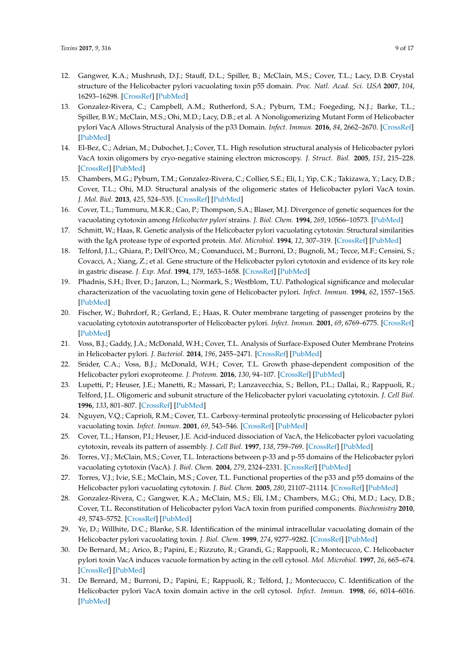- <span id="page-8-0"></span>12. Gangwer, K.A.; Mushrush, D.J.; Stauff, D.L.; Spiller, B.; McClain, M.S.; Cover, T.L.; Lacy, D.B. Crystal structure of the Helicobacter pylori vacuolating toxin p55 domain. *Proc. Natl. Acad. Sci. USA* **2007**, *104*, 16293–16298. [\[CrossRef\]](http://dx.doi.org/10.1073/pnas.0707447104) [\[PubMed\]](http://www.ncbi.nlm.nih.gov/pubmed/17911250)
- 13. Gonzalez-Rivera, C.; Campbell, A.M.; Rutherford, S.A.; Pyburn, T.M.; Foegeding, N.J.; Barke, T.L.; Spiller, B.W.; McClain, M.S.; Ohi, M.D.; Lacy, D.B.; et al. A Nonoligomerizing Mutant Form of Helicobacter pylori VacA Allows Structural Analysis of the p33 Domain. *Infect. Immun.* **2016**, *84*, 2662–2670. [\[CrossRef\]](http://dx.doi.org/10.1128/IAI.00254-16) [\[PubMed\]](http://www.ncbi.nlm.nih.gov/pubmed/27382020)
- 14. El-Bez, C.; Adrian, M.; Dubochet, J.; Cover, T.L. High resolution structural analysis of Helicobacter pylori VacA toxin oligomers by cryo-negative staining electron microscopy. *J. Struct. Biol.* **2005**, *151*, 215–228. [\[CrossRef\]](http://dx.doi.org/10.1016/j.jsb.2005.07.001) [\[PubMed\]](http://www.ncbi.nlm.nih.gov/pubmed/16125415)
- <span id="page-8-1"></span>15. Chambers, M.G.; Pyburn, T.M.; Gonzalez-Rivera, C.; Collier, S.E.; Eli, I.; Yip, C.K.; Takizawa, Y.; Lacy, D.B.; Cover, T.L.; Ohi, M.D. Structural analysis of the oligomeric states of Helicobacter pylori VacA toxin. *J. Mol. Biol.* **2013**, *425*, 524–535. [\[CrossRef\]](http://dx.doi.org/10.1016/j.jmb.2012.11.020) [\[PubMed\]](http://www.ncbi.nlm.nih.gov/pubmed/23178866)
- <span id="page-8-2"></span>16. Cover, T.L.; Tummuru, M.K.R.; Cao, P.; Thompson, S.A.; Blaser, M.J. Divergence of genetic sequences for the vacuolating cytotoxin among *Helicobacter pylori* strains. *J. Biol. Chem.* **1994**, *269*, 10566–10573. [\[PubMed\]](http://www.ncbi.nlm.nih.gov/pubmed/8144644)
- <span id="page-8-4"></span>17. Schmitt, W.; Haas, R. Genetic analysis of the Helicobacter pylori vacuolating cytotoxin: Structural similarities with the IgA protease type of exported protein. *Mol. Microbiol.* **1994**, *12*, 307–319. [\[CrossRef\]](http://dx.doi.org/10.1111/j.1365-2958.1994.tb01019.x) [\[PubMed\]](http://www.ncbi.nlm.nih.gov/pubmed/8057855)
- <span id="page-8-7"></span>18. Telford, J.L.; Ghiara, P.; Dell'Orco, M.; Comanducci, M.; Burroni, D.; Bugnoli, M.; Tecce, M.F.; Censini, S.; Covacci, A.; Xiang, Z.; et al. Gene structure of the Helicobacter pylori cytotoxin and evidence of its key role in gastric disease. *J. Exp. Med.* **1994**, *179*, 1653–1658. [\[CrossRef\]](http://dx.doi.org/10.1084/jem.179.5.1653) [\[PubMed\]](http://www.ncbi.nlm.nih.gov/pubmed/8163943)
- <span id="page-8-3"></span>19. Phadnis, S.H.; Ilver, D.; Janzon, L.; Normark, S.; Westblom, T.U. Pathological significance and molecular characterization of the vacuolating toxin gene of Helicobacter pylori. *Infect. Immun.* **1994**, *62*, 1557–1565. [\[PubMed\]](http://www.ncbi.nlm.nih.gov/pubmed/8168917)
- <span id="page-8-5"></span>20. Fischer, W.; Buhrdorf, R.; Gerland, E.; Haas, R. Outer membrane targeting of passenger proteins by the vacuolating cytotoxin autotransporter of Helicobacter pylori. *Infect. Immun.* **2001**, *69*, 6769–6775. [\[CrossRef\]](http://dx.doi.org/10.1128/IAI.69.11.6769-6775.2001) [\[PubMed\]](http://www.ncbi.nlm.nih.gov/pubmed/11598049)
- 21. Voss, B.J.; Gaddy, J.A.; McDonald, W.H.; Cover, T.L. Analysis of Surface-Exposed Outer Membrane Proteins in Helicobacter pylori. *J. Bacteriol.* **2014**, *196*, 2455–2471. [\[CrossRef\]](http://dx.doi.org/10.1128/JB.01768-14) [\[PubMed\]](http://www.ncbi.nlm.nih.gov/pubmed/24769695)
- <span id="page-8-6"></span>22. Snider, C.A.; Voss, B.J.; McDonald, W.H.; Cover, T.L. Growth phase-dependent composition of the Helicobacter pylori exoproteome. *J. Proteom.* **2016**, *130*, 94–107. [\[CrossRef\]](http://dx.doi.org/10.1016/j.jprot.2015.08.025) [\[PubMed\]](http://www.ncbi.nlm.nih.gov/pubmed/26363098)
- <span id="page-8-8"></span>23. Lupetti, P.; Heuser, J.E.; Manetti, R.; Massari, P.; Lanzavecchia, S.; Bellon, P.L.; Dallai, R.; Rappuoli, R.; Telford, J.L. Oligomeric and subunit structure of the Helicobacter pylori vacuolating cytotoxin. *J. Cell Biol.* **1996**, *133*, 801–807. [\[CrossRef\]](http://dx.doi.org/10.1083/jcb.133.4.801) [\[PubMed\]](http://www.ncbi.nlm.nih.gov/pubmed/8666665)
- 24. Nguyen, V.Q.; Caprioli, R.M.; Cover, T.L. Carboxy-terminal proteolytic processing of Helicobacter pylori vacuolating toxin. *Infect. Immun.* **2001**, *69*, 543–546. [\[CrossRef\]](http://dx.doi.org/10.1128/IAI.69.1.543-546.2001) [\[PubMed\]](http://www.ncbi.nlm.nih.gov/pubmed/11119549)
- <span id="page-8-9"></span>25. Cover, T.L.; Hanson, P.I.; Heuser, J.E. Acid-induced dissociation of VacA, the Helicobacter pylori vacuolating cytotoxin, reveals its pattern of assembly. *J. Cell Biol.* **1997**, *138*, 759–769. [\[CrossRef\]](http://dx.doi.org/10.1083/jcb.138.4.759) [\[PubMed\]](http://www.ncbi.nlm.nih.gov/pubmed/9265644)
- <span id="page-8-10"></span>26. Torres, V.J.; McClain, M.S.; Cover, T.L. Interactions between p-33 and p-55 domains of the Helicobacter pylori vacuolating cytotoxin (VacA). *J. Biol. Chem.* **2004**, *279*, 2324–2331. [\[CrossRef\]](http://dx.doi.org/10.1074/jbc.M310159200) [\[PubMed\]](http://www.ncbi.nlm.nih.gov/pubmed/14593124)
- <span id="page-8-11"></span>27. Torres, V.J.; Ivie, S.E.; McClain, M.S.; Cover, T.L. Functional properties of the p33 and p55 domains of the Helicobacter pylori vacuolating cytotoxin. *J. Biol. Chem.* **2005**, *280*, 21107–21114. [\[CrossRef\]](http://dx.doi.org/10.1074/jbc.M501042200) [\[PubMed\]](http://www.ncbi.nlm.nih.gov/pubmed/15817461)
- <span id="page-8-12"></span>28. Gonzalez-Rivera, C.; Gangwer, K.A.; McClain, M.S.; Eli, I.M.; Chambers, M.G.; Ohi, M.D.; Lacy, D.B.; Cover, T.L. Reconstitution of Helicobacter pylori VacA toxin from purified components. *Biochemistry* **2010**, *49*, 5743–5752. [\[CrossRef\]](http://dx.doi.org/10.1021/bi100618g) [\[PubMed\]](http://www.ncbi.nlm.nih.gov/pubmed/20527875)
- <span id="page-8-13"></span>29. Ye, D.; Willhite, D.C.; Blanke, S.R. Identification of the minimal intracellular vacuolating domain of the Helicobacter pylori vacuolating toxin. *J. Biol. Chem.* **1999**, *274*, 9277–9282. [\[CrossRef\]](http://dx.doi.org/10.1074/jbc.274.14.9277) [\[PubMed\]](http://www.ncbi.nlm.nih.gov/pubmed/10092603)
- 30. De Bernard, M.; Arico, B.; Papini, E.; Rizzuto, R.; Grandi, G.; Rappuoli, R.; Montecucco, C. Helicobacter pylori toxin VacA induces vacuole formation by acting in the cell cytosol. *Mol. Microbiol.* **1997**, *26*, 665–674. [\[CrossRef\]](http://dx.doi.org/10.1046/j.1365-2958.1997.5881952.x) [\[PubMed\]](http://www.ncbi.nlm.nih.gov/pubmed/9427397)
- <span id="page-8-14"></span>31. De Bernard, M.; Burroni, D.; Papini, E.; Rappuoli, R.; Telford, J.; Montecucco, C. Identification of the Helicobacter pylori VacA toxin domain active in the cell cytosol. *Infect. Immun.* **1998**, *66*, 6014–6016. [\[PubMed\]](http://www.ncbi.nlm.nih.gov/pubmed/9826387)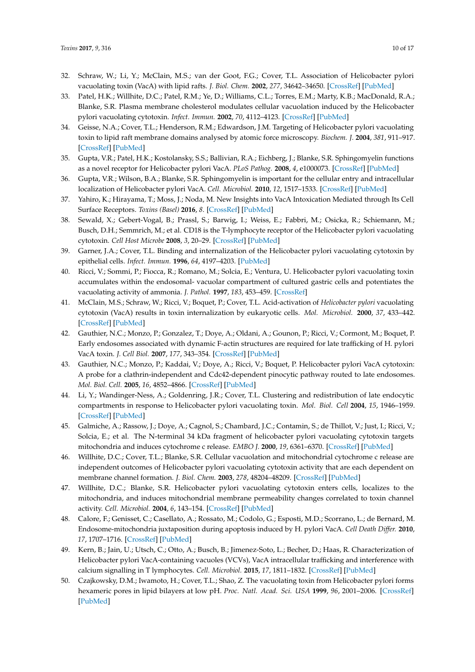- <span id="page-9-0"></span>32. Schraw, W.; Li, Y.; McClain, M.S.; van der Goot, F.G.; Cover, T.L. Association of Helicobacter pylori vacuolating toxin (VacA) with lipid rafts. *J. Biol. Chem.* **2002**, *277*, 34642–34650. [\[CrossRef\]](http://dx.doi.org/10.1074/jbc.M203466200) [\[PubMed\]](http://www.ncbi.nlm.nih.gov/pubmed/12121984)
- 33. Patel, H.K.; Willhite, D.C.; Patel, R.M.; Ye, D.; Williams, C.L.; Torres, E.M.; Marty, K.B.; MacDonald, R.A.; Blanke, S.R. Plasma membrane cholesterol modulates cellular vacuolation induced by the Helicobacter pylori vacuolating cytotoxin. *Infect. Immun.* **2002**, *70*, 4112–4123. [\[CrossRef\]](http://dx.doi.org/10.1128/IAI.70.8.4112-4123.2002) [\[PubMed\]](http://www.ncbi.nlm.nih.gov/pubmed/12117919)
- <span id="page-9-1"></span>34. Geisse, N.A.; Cover, T.L.; Henderson, R.M.; Edwardson, J.M. Targeting of Helicobacter pylori vacuolating toxin to lipid raft membrane domains analysed by atomic force microscopy. *Biochem. J.* **2004**, *381*, 911–917. [\[CrossRef\]](http://dx.doi.org/10.1042/BJ20031719) [\[PubMed\]](http://www.ncbi.nlm.nih.gov/pubmed/15128269)
- <span id="page-9-2"></span>35. Gupta, V.R.; Patel, H.K.; Kostolansky, S.S.; Ballivian, R.A.; Eichberg, J.; Blanke, S.R. Sphingomyelin functions as a novel receptor for Helicobacter pylori VacA. *PLoS Pathog.* **2008**, *4*, e1000073. [\[CrossRef\]](http://dx.doi.org/10.1371/journal.ppat.1000073) [\[PubMed\]](http://www.ncbi.nlm.nih.gov/pubmed/18497859)
- 36. Gupta, V.R.; Wilson, B.A.; Blanke, S.R. Sphingomyelin is important for the cellular entry and intracellular localization of Helicobacter pylori VacA. *Cell. Microbiol.* **2010**, *12*, 1517–1533. [\[CrossRef\]](http://dx.doi.org/10.1111/j.1462-5822.2010.01487.x) [\[PubMed\]](http://www.ncbi.nlm.nih.gov/pubmed/20545942)
- <span id="page-9-3"></span>37. Yahiro, K.; Hirayama, T.; Moss, J.; Noda, M. New Insights into VacA Intoxication Mediated through Its Cell Surface Receptors. *Toxins (Basel)* **2016**, *8*. [\[CrossRef\]](http://dx.doi.org/10.3390/toxins8050152) [\[PubMed\]](http://www.ncbi.nlm.nih.gov/pubmed/27187473)
- <span id="page-9-4"></span>38. Sewald, X.; Gebert-Vogal, B.; Prassl, S.; Barwig, I.; Weiss, E.; Fabbri, M.; Osicka, R.; Schiemann, M.; Busch, D.H.; Semmrich, M.; et al. CD18 is the T-lymphocyte receptor of the Helicobacter pylori vacuolating cytotoxin. *Cell Host Microbe* **2008**, *3*, 20–29. [\[CrossRef\]](http://dx.doi.org/10.1016/j.chom.2007.11.003) [\[PubMed\]](http://www.ncbi.nlm.nih.gov/pubmed/18191791)
- <span id="page-9-5"></span>39. Garner, J.A.; Cover, T.L. Binding and internalization of the Helicobacter pylori vacuolating cytotoxin by epithelial cells. *Infect. Immun.* **1996**, *64*, 4197–4203. [\[PubMed\]](http://www.ncbi.nlm.nih.gov/pubmed/8926088)
- <span id="page-9-11"></span>40. Ricci, V.; Sommi, P.; Fiocca, R.; Romano, M.; Solcia, E.; Ventura, U. Helicobacter pylori vacuolating toxin accumulates within the endosomal- vacuolar compartment of cultured gastric cells and potentiates the vacuolating activity of ammonia. *J. Pathol.* **1997**, *183*, 453–459. [\[CrossRef\]](http://dx.doi.org/10.1002/(SICI)1096-9896(199712)183:4<453::AID-PATH950>3.0.CO;2-2)
- 41. McClain, M.S.; Schraw, W.; Ricci, V.; Boquet, P.; Cover, T.L. Acid-activation of *Helicobacter pylori* vacuolating cytotoxin (VacA) results in toxin internalization by eukaryotic cells. *Mol. Microbiol.* **2000**, *37*, 433–442. [\[CrossRef\]](http://dx.doi.org/10.1046/j.1365-2958.2000.02013.x) [\[PubMed\]](http://www.ncbi.nlm.nih.gov/pubmed/10931337)
- 42. Gauthier, N.C.; Monzo, P.; Gonzalez, T.; Doye, A.; Oldani, A.; Gounon, P.; Ricci, V.; Cormont, M.; Boquet, P. Early endosomes associated with dynamic F-actin structures are required for late trafficking of H. pylori VacA toxin. *J. Cell Biol.* **2007**, *177*, 343–354. [\[CrossRef\]](http://dx.doi.org/10.1083/jcb.200609061) [\[PubMed\]](http://www.ncbi.nlm.nih.gov/pubmed/17438076)
- 43. Gauthier, N.C.; Monzo, P.; Kaddai, V.; Doye, A.; Ricci, V.; Boquet, P. Helicobacter pylori VacA cytotoxin: A probe for a clathrin-independent and Cdc42-dependent pinocytic pathway routed to late endosomes. *Mol. Biol. Cell.* **2005**, *16*, 4852–4866. [\[CrossRef\]](http://dx.doi.org/10.1091/mbc.E05-05-0398) [\[PubMed\]](http://www.ncbi.nlm.nih.gov/pubmed/16055501)
- <span id="page-9-6"></span>44. Li, Y.; Wandinger-Ness, A.; Goldenring, J.R.; Cover, T.L. Clustering and redistribution of late endocytic compartments in response to Helicobacter pylori vacuolating toxin. *Mol. Biol. Cell* **2004**, *15*, 1946–1959. [\[CrossRef\]](http://dx.doi.org/10.1091/mbc.E03-08-0618) [\[PubMed\]](http://www.ncbi.nlm.nih.gov/pubmed/14742715)
- <span id="page-9-7"></span>45. Galmiche, A.; Rassow, J.; Doye, A.; Cagnol, S.; Chambard, J.C.; Contamin, S.; de Thillot, V.; Just, I.; Ricci, V.; Solcia, E.; et al. The N-terminal 34 kDa fragment of helicobacter pylori vacuolating cytotoxin targets mitochondria and induces cytochrome c release. *EMBO J.* **2000**, *19*, 6361–6370. [\[CrossRef\]](http://dx.doi.org/10.1093/emboj/19.23.6361) [\[PubMed\]](http://www.ncbi.nlm.nih.gov/pubmed/11101509)
- <span id="page-9-12"></span>46. Willhite, D.C.; Cover, T.L.; Blanke, S.R. Cellular vacuolation and mitochondrial cytochrome c release are independent outcomes of Helicobacter pylori vacuolating cytotoxin activity that are each dependent on membrane channel formation. *J. Biol. Chem.* **2003**, *278*, 48204–48209. [\[CrossRef\]](http://dx.doi.org/10.1074/jbc.M304131200) [\[PubMed\]](http://www.ncbi.nlm.nih.gov/pubmed/13129933)
- <span id="page-9-13"></span>47. Willhite, D.C.; Blanke, S.R. Helicobacter pylori vacuolating cytotoxin enters cells, localizes to the mitochondria, and induces mitochondrial membrane permeability changes correlated to toxin channel activity. *Cell. Microbiol.* **2004**, *6*, 143–154. [\[CrossRef\]](http://dx.doi.org/10.1046/j.1462-5822.2003.00347.x) [\[PubMed\]](http://www.ncbi.nlm.nih.gov/pubmed/14706100)
- <span id="page-9-8"></span>48. Calore, F.; Genisset, C.; Casellato, A.; Rossato, M.; Codolo, G.; Esposti, M.D.; Scorrano, L.; de Bernard, M. Endosome-mitochondria juxtaposition during apoptosis induced by H. pylori VacA. *Cell Death Differ.* **2010**, *17*, 1707–1716. [\[CrossRef\]](http://dx.doi.org/10.1038/cdd.2010.42) [\[PubMed\]](http://www.ncbi.nlm.nih.gov/pubmed/20431599)
- <span id="page-9-9"></span>49. Kern, B.; Jain, U.; Utsch, C.; Otto, A.; Busch, B.; Jimenez-Soto, L.; Becher, D.; Haas, R. Characterization of Helicobacter pylori VacA-containing vacuoles (VCVs), VacA intracellular trafficking and interference with calcium signalling in T lymphocytes. *Cell. Microbiol.* **2015**, *17*, 1811–1832. [\[CrossRef\]](http://dx.doi.org/10.1111/cmi.12474) [\[PubMed\]](http://www.ncbi.nlm.nih.gov/pubmed/26078003)
- <span id="page-9-10"></span>50. Czajkowsky, D.M.; Iwamoto, H.; Cover, T.L.; Shao, Z. The vacuolating toxin from Helicobacter pylori forms hexameric pores in lipid bilayers at low pH. *Proc. Natl. Acad. Sci. USA* **1999**, *96*, 2001–2006. [\[CrossRef\]](http://dx.doi.org/10.1073/pnas.96.5.2001) [\[PubMed\]](http://www.ncbi.nlm.nih.gov/pubmed/10051584)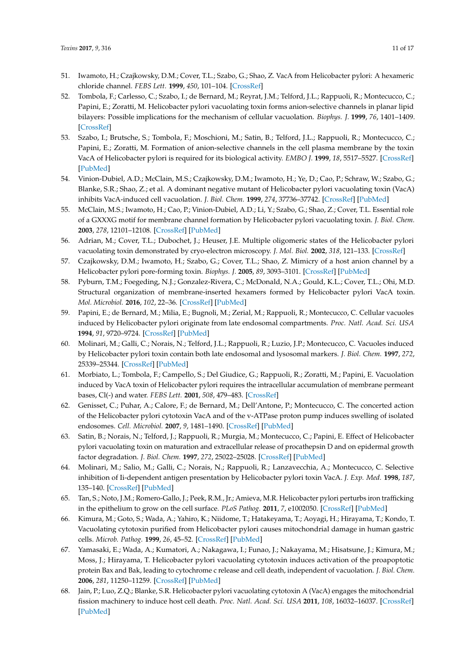- 51. Iwamoto, H.; Czajkowsky, D.M.; Cover, T.L.; Szabo, G.; Shao, Z. VacA from Helicobacter pylori: A hexameric chloride channel. *FEBS Lett.* **1999**, *450*, 101–104. [\[CrossRef\]](http://dx.doi.org/10.1016/S0014-5793(99)00474-3)
- 52. Tombola, F.; Carlesso, C.; Szabo, I.; de Bernard, M.; Reyrat, J.M.; Telford, J.L.; Rappuoli, R.; Montecucco, C.; Papini, E.; Zoratti, M. Helicobacter pylori vacuolating toxin forms anion-selective channels in planar lipid bilayers: Possible implications for the mechanism of cellular vacuolation. *Biophys. J.* **1999**, *76*, 1401–1409. [\[CrossRef\]](http://dx.doi.org/10.1016/S0006-3495(99)77301-7)
- <span id="page-10-1"></span>53. Szabo, I.; Brutsche, S.; Tombola, F.; Moschioni, M.; Satin, B.; Telford, J.L.; Rappuoli, R.; Montecucco, C.; Papini, E.; Zoratti, M. Formation of anion-selective channels in the cell plasma membrane by the toxin VacA of Helicobacter pylori is required for its biological activity. *EMBO J.* **1999**, *18*, 5517–5527. [\[CrossRef\]](http://dx.doi.org/10.1093/emboj/18.20.5517) [\[PubMed\]](http://www.ncbi.nlm.nih.gov/pubmed/10523296)
- 54. Vinion-Dubiel, A.D.; McClain, M.S.; Czajkowsky, D.M.; Iwamoto, H.; Ye, D.; Cao, P.; Schraw, W.; Szabo, G.; Blanke, S.R.; Shao, Z.; et al. A dominant negative mutant of Helicobacter pylori vacuolating toxin (VacA) inhibits VacA-induced cell vacuolation. *J. Biol. Chem.* **1999**, *274*, 37736–37742. [\[CrossRef\]](http://dx.doi.org/10.1074/jbc.274.53.37736) [\[PubMed\]](http://www.ncbi.nlm.nih.gov/pubmed/10608833)
- <span id="page-10-2"></span>55. McClain, M.S.; Iwamoto, H.; Cao, P.; Vinion-Dubiel, A.D.; Li, Y.; Szabo, G.; Shao, Z.; Cover, T.L. Essential role of a GXXXG motif for membrane channel formation by Helicobacter pylori vacuolating toxin. *J. Biol. Chem.* **2003**, *278*, 12101–12108. [\[CrossRef\]](http://dx.doi.org/10.1074/jbc.M212595200) [\[PubMed\]](http://www.ncbi.nlm.nih.gov/pubmed/12562777)
- 56. Adrian, M.; Cover, T.L.; Dubochet, J.; Heuser, J.E. Multiple oligomeric states of the Helicobacter pylori vacuolating toxin demonstrated by cryo-electron microscopy. *J. Mol. Biol.* **2002**, *318*, 121–133. [\[CrossRef\]](http://dx.doi.org/10.1016/S0022-2836(02)00047-5)
- 57. Czajkowsky, D.M.; Iwamoto, H.; Szabo, G.; Cover, T.L.; Shao, Z. Mimicry of a host anion channel by a Helicobacter pylori pore-forming toxin. *Biophys. J.* **2005**, *89*, 3093–3101. [\[CrossRef\]](http://dx.doi.org/10.1529/biophysj.105.066746) [\[PubMed\]](http://www.ncbi.nlm.nih.gov/pubmed/16100263)
- <span id="page-10-0"></span>58. Pyburn, T.M.; Foegeding, N.J.; Gonzalez-Rivera, C.; McDonald, N.A.; Gould, K.L.; Cover, T.L.; Ohi, M.D. Structural organization of membrane-inserted hexamers formed by Helicobacter pylori VacA toxin. *Mol. Microbiol.* **2016**, *102*, 22–36. [\[CrossRef\]](http://dx.doi.org/10.1111/mmi.13443) [\[PubMed\]](http://www.ncbi.nlm.nih.gov/pubmed/27309820)
- <span id="page-10-3"></span>59. Papini, E.; de Bernard, M.; Milia, E.; Bugnoli, M.; Zerial, M.; Rappuoli, R.; Montecucco, C. Cellular vacuoles induced by Helicobacter pylori originate from late endosomal compartments. *Proc. Natl. Acad. Sci. USA* **1994**, *91*, 9720–9724. [\[CrossRef\]](http://dx.doi.org/10.1073/pnas.91.21.9720) [\[PubMed\]](http://www.ncbi.nlm.nih.gov/pubmed/7937879)
- <span id="page-10-4"></span>60. Molinari, M.; Galli, C.; Norais, N.; Telford, J.L.; Rappuoli, R.; Luzio, J.P.; Montecucco, C. Vacuoles induced by Helicobacter pylori toxin contain both late endosomal and lysosomal markers. *J. Biol. Chem.* **1997**, *272*, 25339–25344. [\[CrossRef\]](http://dx.doi.org/10.1074/jbc.272.40.25339) [\[PubMed\]](http://www.ncbi.nlm.nih.gov/pubmed/9312153)
- <span id="page-10-5"></span>61. Morbiato, L.; Tombola, F.; Campello, S.; Del Giudice, G.; Rappuoli, R.; Zoratti, M.; Papini, E. Vacuolation induced by VacA toxin of Helicobacter pylori requires the intracellular accumulation of membrane permeant bases, Cl(-) and water. *FEBS Lett.* **2001**, *508*, 479–483. [\[CrossRef\]](http://dx.doi.org/10.1016/S0014-5793(01)03133-7)
- <span id="page-10-6"></span>62. Genisset, C.; Puhar, A.; Calore, F.; de Bernard, M.; Dell'Antone, P.; Montecucco, C. The concerted action of the Helicobacter pylori cytotoxin VacA and of the v-ATPase proton pump induces swelling of isolated endosomes. *Cell. Microbiol.* **2007**, *9*, 1481–1490. [\[CrossRef\]](http://dx.doi.org/10.1111/j.1462-5822.2006.00886.x) [\[PubMed\]](http://www.ncbi.nlm.nih.gov/pubmed/17253977)
- <span id="page-10-7"></span>63. Satin, B.; Norais, N.; Telford, J.; Rappuoli, R.; Murgia, M.; Montecucco, C.; Papini, E. Effect of Helicobacter pylori vacuolating toxin on maturation and extracellular release of procathepsin D and on epidermal growth factor degradation. *J. Biol. Chem.* **1997**, *272*, 25022–25028. [\[CrossRef\]](http://dx.doi.org/10.1074/jbc.272.40.25022) [\[PubMed\]](http://www.ncbi.nlm.nih.gov/pubmed/9312109)
- 64. Molinari, M.; Salio, M.; Galli, C.; Norais, N.; Rappuoli, R.; Lanzavecchia, A.; Montecucco, C. Selective inhibition of Ii-dependent antigen presentation by Helicobacter pylori toxin VacA. *J. Exp. Med.* **1998**, *187*, 135–140. [\[CrossRef\]](http://dx.doi.org/10.1084/jem.187.1.135) [\[PubMed\]](http://www.ncbi.nlm.nih.gov/pubmed/9419220)
- <span id="page-10-8"></span>65. Tan, S.; Noto, J.M.; Romero-Gallo, J.; Peek, R.M., Jr.; Amieva, M.R. Helicobacter pylori perturbs iron trafficking in the epithelium to grow on the cell surface. *PLoS Pathog.* **2011**, *7*, e1002050. [\[CrossRef\]](http://dx.doi.org/10.1371/journal.ppat.1002050) [\[PubMed\]](http://www.ncbi.nlm.nih.gov/pubmed/21589900)
- <span id="page-10-9"></span>66. Kimura, M.; Goto, S.; Wada, A.; Yahiro, K.; Niidome, T.; Hatakeyama, T.; Aoyagi, H.; Hirayama, T.; Kondo, T. Vacuolating cytotoxin purified from Helicobacter pylori causes mitochondrial damage in human gastric cells. *Microb. Pathog.* **1999**, *26*, 45–52. [\[CrossRef\]](http://dx.doi.org/10.1006/mpat.1998.0241) [\[PubMed\]](http://www.ncbi.nlm.nih.gov/pubmed/9973580)
- 67. Yamasaki, E.; Wada, A.; Kumatori, A.; Nakagawa, I.; Funao, J.; Nakayama, M.; Hisatsune, J.; Kimura, M.; Moss, J.; Hirayama, T. Helicobacter pylori vacuolating cytotoxin induces activation of the proapoptotic protein Bax and Bak, leading to cytochrome c release and cell death, independent of vacuolation. *J. Biol. Chem.* **2006**, *281*, 11250–11259. [\[CrossRef\]](http://dx.doi.org/10.1074/jbc.M509404200) [\[PubMed\]](http://www.ncbi.nlm.nih.gov/pubmed/16436379)
- <span id="page-10-10"></span>68. Jain, P.; Luo, Z.Q.; Blanke, S.R. Helicobacter pylori vacuolating cytotoxin A (VacA) engages the mitochondrial fission machinery to induce host cell death. *Proc. Natl. Acad. Sci. USA* **2011**, *108*, 16032–16037. [\[CrossRef\]](http://dx.doi.org/10.1073/pnas.1105175108) [\[PubMed\]](http://www.ncbi.nlm.nih.gov/pubmed/21903925)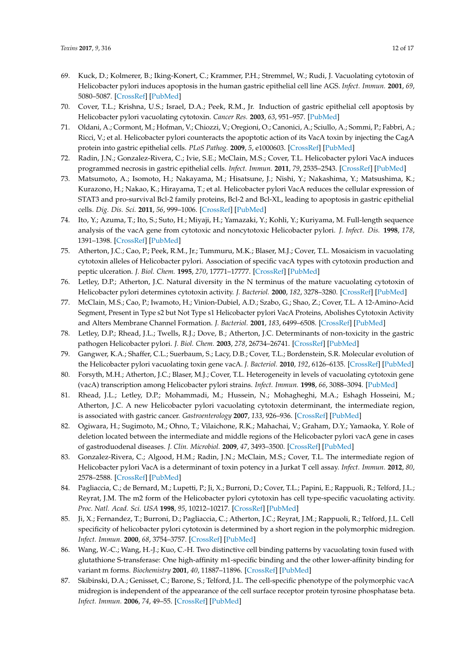- <span id="page-11-0"></span>69. Kuck, D.; Kolmerer, B.; Iking-Konert, C.; Krammer, P.H.; Stremmel, W.; Rudi, J. Vacuolating cytotoxin of Helicobacter pylori induces apoptosis in the human gastric epithelial cell line AGS. *Infect. Immun.* **2001**, *69*, 5080–5087. [\[CrossRef\]](http://dx.doi.org/10.1128/IAI.69.8.5080-5087.2001) [\[PubMed\]](http://www.ncbi.nlm.nih.gov/pubmed/11447189)
- 70. Cover, T.L.; Krishna, U.S.; Israel, D.A.; Peek, R.M., Jr. Induction of gastric epithelial cell apoptosis by Helicobacter pylori vacuolating cytotoxin. *Cancer Res.* **2003**, *63*, 951–957. [\[PubMed\]](http://www.ncbi.nlm.nih.gov/pubmed/12615708)
- <span id="page-11-15"></span>71. Oldani, A.; Cormont, M.; Hofman, V.; Chiozzi, V.; Oregioni, O.; Canonici, A.; Sciullo, A.; Sommi, P.; Fabbri, A.; Ricci, V.; et al. Helicobacter pylori counteracts the apoptotic action of its VacA toxin by injecting the CagA protein into gastric epithelial cells. *PLoS Pathog.* **2009**, *5*, e1000603. [\[CrossRef\]](http://dx.doi.org/10.1371/journal.ppat.1000603) [\[PubMed\]](http://www.ncbi.nlm.nih.gov/pubmed/19798427)
- <span id="page-11-1"></span>72. Radin, J.N.; Gonzalez-Rivera, C.; Ivie, S.E.; McClain, M.S.; Cover, T.L. Helicobacter pylori VacA induces programmed necrosis in gastric epithelial cells. *Infect. Immun.* **2011**, *79*, 2535–2543. [\[CrossRef\]](http://dx.doi.org/10.1128/IAI.01370-10) [\[PubMed\]](http://www.ncbi.nlm.nih.gov/pubmed/21482684)
- <span id="page-11-2"></span>73. Matsumoto, A.; Isomoto, H.; Nakayama, M.; Hisatsune, J.; Nishi, Y.; Nakashima, Y.; Matsushima, K.; Kurazono, H.; Nakao, K.; Hirayama, T.; et al. Helicobacter pylori VacA reduces the cellular expression of STAT3 and pro-survival Bcl-2 family proteins, Bcl-2 and Bcl-XL, leading to apoptosis in gastric epithelial cells. *Dig. Dis. Sci.* **2011**, *56*, 999–1006. [\[CrossRef\]](http://dx.doi.org/10.1007/s10620-010-1420-1) [\[PubMed\]](http://www.ncbi.nlm.nih.gov/pubmed/20927590)
- <span id="page-11-3"></span>74. Ito, Y.; Azuma, T.; Ito, S.; Suto, H.; Miyaji, H.; Yamazaki, Y.; Kohli, Y.; Kuriyama, M. Full-length sequence analysis of the vacA gene from cytotoxic and noncytotoxic Helicobacter pylori. *J. Infect. Dis.* **1998**, *178*, 1391–1398. [\[CrossRef\]](http://dx.doi.org/10.1086/314435) [\[PubMed\]](http://www.ncbi.nlm.nih.gov/pubmed/9780260)
- <span id="page-11-4"></span>75. Atherton, J.C.; Cao, P.; Peek, R.M., Jr.; Tummuru, M.K.; Blaser, M.J.; Cover, T.L. Mosaicism in vacuolating cytotoxin alleles of Helicobacter pylori. Association of specific vacA types with cytotoxin production and peptic ulceration. *J. Biol. Chem.* **1995**, *270*, 17771–17777. [\[CrossRef\]](http://dx.doi.org/10.1074/jbc.270.30.17771) [\[PubMed\]](http://www.ncbi.nlm.nih.gov/pubmed/7629077)
- 76. Letley, D.P.; Atherton, J.C. Natural diversity in the N terminus of the mature vacuolating cytotoxin of Helicobacter pylori determines cytotoxin activity. *J. Bacteriol.* **2000**, *182*, 3278–3280. [\[CrossRef\]](http://dx.doi.org/10.1128/JB.182.11.3278-3280.2000) [\[PubMed\]](http://www.ncbi.nlm.nih.gov/pubmed/10809711)
- 77. McClain, M.S.; Cao, P.; Iwamoto, H.; Vinion-Dubiel, A.D.; Szabo, G.; Shao, Z.; Cover, T.L. A 12-Amino-Acid Segment, Present in Type s2 but Not Type s1 Helicobacter pylori VacA Proteins, Abolishes Cytotoxin Activity and Alters Membrane Channel Formation. *J. Bacteriol.* **2001**, *183*, 6499–6508. [\[CrossRef\]](http://dx.doi.org/10.1128/JB.183.22.6499-6508.2001) [\[PubMed\]](http://www.ncbi.nlm.nih.gov/pubmed/11673417)
- <span id="page-11-9"></span>78. Letley, D.P.; Rhead, J.L.; Twells, R.J.; Dove, B.; Atherton, J.C. Determinants of non-toxicity in the gastric pathogen Helicobacter pylori. *J. Biol. Chem.* **2003**, *278*, 26734–26741. [\[CrossRef\]](http://dx.doi.org/10.1074/jbc.M304071200) [\[PubMed\]](http://www.ncbi.nlm.nih.gov/pubmed/12738773)
- <span id="page-11-5"></span>79. Gangwer, K.A.; Shaffer, C.L.; Suerbaum, S.; Lacy, D.B.; Cover, T.L.; Bordenstein, S.R. Molecular evolution of the Helicobacter pylori vacuolating toxin gene vacA. *J. Bacteriol.* **2010**, *192*, 6126–6135. [\[CrossRef\]](http://dx.doi.org/10.1128/JB.01081-10) [\[PubMed\]](http://www.ncbi.nlm.nih.gov/pubmed/20870762)
- <span id="page-11-6"></span>80. Forsyth, M.H.; Atherton, J.C.; Blaser, M.J.; Cover, T.L. Heterogeneity in levels of vacuolating cytotoxin gene (vacA) transcription among Helicobacter pylori strains. *Infect. Immun.* **1998**, *66*, 3088–3094. [\[PubMed\]](http://www.ncbi.nlm.nih.gov/pubmed/9632570)
- <span id="page-11-7"></span>81. Rhead, J.L.; Letley, D.P.; Mohammadi, M.; Hussein, N.; Mohagheghi, M.A.; Eshagh Hosseini, M.; Atherton, J.C. A new Helicobacter pylori vacuolating cytotoxin determinant, the intermediate region, is associated with gastric cancer. *Gastroenterology* **2007**, *133*, 926–936. [\[CrossRef\]](http://dx.doi.org/10.1053/j.gastro.2007.06.056) [\[PubMed\]](http://www.ncbi.nlm.nih.gov/pubmed/17854597)
- <span id="page-11-8"></span>82. Ogiwara, H.; Sugimoto, M.; Ohno, T.; Vilaichone, R.K.; Mahachai, V.; Graham, D.Y.; Yamaoka, Y. Role of deletion located between the intermediate and middle regions of the Helicobacter pylori vacA gene in cases of gastroduodenal diseases. *J. Clin. Microbiol.* **2009**, *47*, 3493–3500. [\[CrossRef\]](http://dx.doi.org/10.1128/JCM.00887-09) [\[PubMed\]](http://www.ncbi.nlm.nih.gov/pubmed/19726606)
- <span id="page-11-10"></span>83. Gonzalez-Rivera, C.; Algood, H.M.; Radin, J.N.; McClain, M.S.; Cover, T.L. The intermediate region of Helicobacter pylori VacA is a determinant of toxin potency in a Jurkat T cell assay. *Infect. Immun.* **2012**, *80*, 2578–2588. [\[CrossRef\]](http://dx.doi.org/10.1128/IAI.00052-12) [\[PubMed\]](http://www.ncbi.nlm.nih.gov/pubmed/22585965)
- <span id="page-11-11"></span>84. Pagliaccia, C.; de Bernard, M.; Lupetti, P.; Ji, X.; Burroni, D.; Cover, T.L.; Papini, E.; Rappuoli, R.; Telford, J.L.; Reyrat, J.M. The m2 form of the Helicobacter pylori cytotoxin has cell type-specific vacuolating activity. *Proc. Natl. Acad. Sci. USA* **1998**, *95*, 10212–10217. [\[CrossRef\]](http://dx.doi.org/10.1073/pnas.95.17.10212) [\[PubMed\]](http://www.ncbi.nlm.nih.gov/pubmed/9707626)
- <span id="page-11-13"></span>85. Ji, X.; Fernandez, T.; Burroni, D.; Pagliaccia, C.; Atherton, J.C.; Reyrat, J.M.; Rappuoli, R.; Telford, J.L. Cell specificity of helicobacter pylori cytotoxin is determined by a short region in the polymorphic midregion. *Infect. Immun.* **2000**, *68*, 3754–3757. [\[CrossRef\]](http://dx.doi.org/10.1128/IAI.68.6.3754-3757.2000) [\[PubMed\]](http://www.ncbi.nlm.nih.gov/pubmed/10816542)
- <span id="page-11-14"></span>86. Wang, W.-C.; Wang, H.-J.; Kuo, C.-H. Two distinctive cell binding patterns by vacuolating toxin fused with glutathione S-transferase: One high-affinity m1-specific binding and the other lower-affinity binding for variant m forms. *Biochemistry* **2001**, *40*, 11887–11896. [\[CrossRef\]](http://dx.doi.org/10.1021/bi010065u) [\[PubMed\]](http://www.ncbi.nlm.nih.gov/pubmed/11570889)
- <span id="page-11-12"></span>87. Skibinski, D.A.; Genisset, C.; Barone, S.; Telford, J.L. The cell-specific phenotype of the polymorphic vacA midregion is independent of the appearance of the cell surface receptor protein tyrosine phosphatase beta. *Infect. Immun.* **2006**, *74*, 49–55. [\[CrossRef\]](http://dx.doi.org/10.1128/IAI.74.1.49-55.2006) [\[PubMed\]](http://www.ncbi.nlm.nih.gov/pubmed/16368956)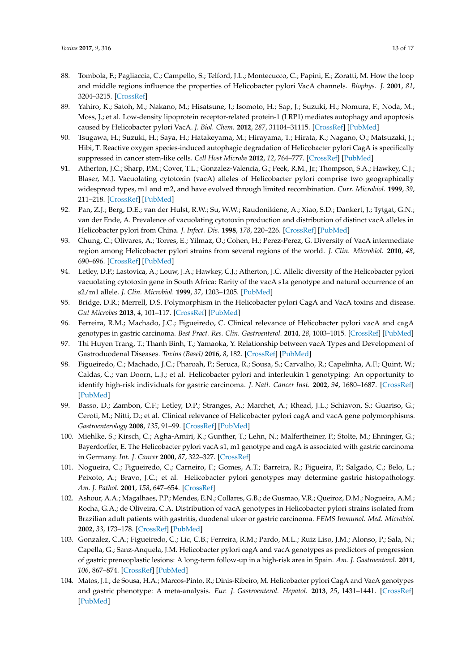- <span id="page-12-0"></span>88. Tombola, F.; Pagliaccia, C.; Campello, S.; Telford, J.L.; Montecucco, C.; Papini, E.; Zoratti, M. How the loop and middle regions influence the properties of Helicobacter pylori VacA channels. *Biophys. J.* **2001**, *81*, 3204–3215. [\[CrossRef\]](http://dx.doi.org/10.1016/S0006-3495(01)75956-5)
- <span id="page-12-1"></span>89. Yahiro, K.; Satoh, M.; Nakano, M.; Hisatsune, J.; Isomoto, H.; Sap, J.; Suzuki, H.; Nomura, F.; Noda, M.; Moss, J.; et al. Low-density lipoprotein receptor-related protein-1 (LRP1) mediates autophagy and apoptosis caused by Helicobacter pylori VacA. *J. Biol. Chem.* **2012**, *287*, 31104–31115. [\[CrossRef\]](http://dx.doi.org/10.1074/jbc.M112.387498) [\[PubMed\]](http://www.ncbi.nlm.nih.gov/pubmed/22822085)
- <span id="page-12-2"></span>90. Tsugawa, H.; Suzuki, H.; Saya, H.; Hatakeyama, M.; Hirayama, T.; Hirata, K.; Nagano, O.; Matsuzaki, J.; Hibi, T. Reactive oxygen species-induced autophagic degradation of Helicobacter pylori CagA is specifically suppressed in cancer stem-like cells. *Cell Host Microbe* **2012**, *12*, 764–777. [\[CrossRef\]](http://dx.doi.org/10.1016/j.chom.2012.10.014) [\[PubMed\]](http://www.ncbi.nlm.nih.gov/pubmed/23245321)
- <span id="page-12-3"></span>91. Atherton, J.C.; Sharp, P.M.; Cover, T.L.; Gonzalez-Valencia, G.; Peek, R.M., Jr.; Thompson, S.A.; Hawkey, C.J.; Blaser, M.J. Vacuolating cytotoxin (vacA) alleles of Helicobacter pylori comprise two geographically widespread types, m1 and m2, and have evolved through limited recombination. *Curr. Microbiol.* **1999**, *39*, 211–218. [\[CrossRef\]](http://dx.doi.org/10.1007/s002849900447) [\[PubMed\]](http://www.ncbi.nlm.nih.gov/pubmed/10486057)
- 92. Pan, Z.J.; Berg, D.E.; van der Hulst, R.W.; Su, W.W.; Raudonikiene, A.; Xiao, S.D.; Dankert, J.; Tytgat, G.N.; van der Ende, A. Prevalence of vacuolating cytotoxin production and distribution of distinct vacA alleles in Helicobacter pylori from China. *J. Infect. Dis.* **1998**, *178*, 220–226. [\[CrossRef\]](http://dx.doi.org/10.1086/515601) [\[PubMed\]](http://www.ncbi.nlm.nih.gov/pubmed/9652444)
- <span id="page-12-4"></span>93. Chung, C.; Olivares, A.; Torres, E.; Yilmaz, O.; Cohen, H.; Perez-Perez, G. Diversity of VacA intermediate region among Helicobacter pylori strains from several regions of the world. *J. Clin. Microbiol.* **2010**, *48*, 690–696. [\[CrossRef\]](http://dx.doi.org/10.1128/JCM.01815-09) [\[PubMed\]](http://www.ncbi.nlm.nih.gov/pubmed/20053862)
- <span id="page-12-5"></span>94. Letley, D.P.; Lastovica, A.; Louw, J.A.; Hawkey, C.J.; Atherton, J.C. Allelic diversity of the Helicobacter pylori vacuolating cytotoxin gene in South Africa: Rarity of the vacA s1a genotype and natural occurrence of an s2/m1 allele. *J. Clin. Microbiol.* **1999**, *37*, 1203–1205. [\[PubMed\]](http://www.ncbi.nlm.nih.gov/pubmed/10074554)
- <span id="page-12-6"></span>95. Bridge, D.R.; Merrell, D.S. Polymorphism in the Helicobacter pylori CagA and VacA toxins and disease. *Gut Microbes* **2013**, *4*, 101–117. [\[CrossRef\]](http://dx.doi.org/10.4161/gmic.23797) [\[PubMed\]](http://www.ncbi.nlm.nih.gov/pubmed/23380646)
- 96. Ferreira, R.M.; Machado, J.C.; Figueiredo, C. Clinical relevance of Helicobacter pylori vacA and cagA genotypes in gastric carcinoma. *Best Pract. Res. Clin. Gastroenterol.* **2014**, *28*, 1003–1015. [\[CrossRef\]](http://dx.doi.org/10.1016/j.bpg.2014.09.004) [\[PubMed\]](http://www.ncbi.nlm.nih.gov/pubmed/25439067)
- <span id="page-12-7"></span>97. Thi Huyen Trang, T.; Thanh Binh, T.; Yamaoka, Y. Relationship between vacA Types and Development of Gastroduodenal Diseases. *Toxins (Basel)* **2016**, *8*, 182. [\[CrossRef\]](http://dx.doi.org/10.3390/toxins8060182) [\[PubMed\]](http://www.ncbi.nlm.nih.gov/pubmed/27294955)
- <span id="page-12-8"></span>98. Figueiredo, C.; Machado, J.C.; Pharoah, P.; Seruca, R.; Sousa, S.; Carvalho, R.; Capelinha, A.F.; Quint, W.; Caldas, C.; van Doorn, L.J.; et al. Helicobacter pylori and interleukin 1 genotyping: An opportunity to identify high-risk individuals for gastric carcinoma. *J. Natl. Cancer Inst.* **2002**, *94*, 1680–1687. [\[CrossRef\]](http://dx.doi.org/10.1093/jnci/94.22.1680) [\[PubMed\]](http://www.ncbi.nlm.nih.gov/pubmed/12441323)
- <span id="page-12-9"></span>99. Basso, D.; Zambon, C.F.; Letley, D.P.; Stranges, A.; Marchet, A.; Rhead, J.L.; Schiavon, S.; Guariso, G.; Ceroti, M.; Nitti, D.; et al. Clinical relevance of Helicobacter pylori cagA and vacA gene polymorphisms. *Gastroenterology* **2008**, *135*, 91–99. [\[CrossRef\]](http://dx.doi.org/10.1053/j.gastro.2008.03.041) [\[PubMed\]](http://www.ncbi.nlm.nih.gov/pubmed/18474244)
- 100. Miehlke, S.; Kirsch, C.; Agha-Amiri, K.; Gunther, T.; Lehn, N.; Malfertheiner, P.; Stolte, M.; Ehninger, G.; Bayerdorffer, E. The Helicobacter pylori vacA s1, m1 genotype and cagA is associated with gastric carcinoma in Germany. *Int. J. Cancer* **2000**, *87*, 322–327. [\[CrossRef\]](http://dx.doi.org/10.1002/1097-0215(20000801)87:3<322::AID-IJC3>3.0.CO;2-M)
- 101. Nogueira, C.; Figueiredo, C.; Carneiro, F.; Gomes, A.T.; Barreira, R.; Figueira, P.; Salgado, C.; Belo, L.; Peixoto, A.; Bravo, J.C.; et al. Helicobacter pylori genotypes may determine gastric histopathology. *Am. J. Pathol.* **2001**, *158*, 647–654. [\[CrossRef\]](http://dx.doi.org/10.1016/S0002-9440(10)64006-0)
- 102. Ashour, A.A.; Magalhaes, P.P.; Mendes, E.N.; Collares, G.B.; de Gusmao, V.R.; Queiroz, D.M.; Nogueira, A.M.; Rocha, G.A.; de Oliveira, C.A. Distribution of vacA genotypes in Helicobacter pylori strains isolated from Brazilian adult patients with gastritis, duodenal ulcer or gastric carcinoma. *FEMS Immunol. Med. Microbiol.* **2002**, *33*, 173–178. [\[CrossRef\]](http://dx.doi.org/10.1111/j.1574-695X.2002.tb00588.x) [\[PubMed\]](http://www.ncbi.nlm.nih.gov/pubmed/12110479)
- 103. Gonzalez, C.A.; Figueiredo, C.; Lic, C.B.; Ferreira, R.M.; Pardo, M.L.; Ruiz Liso, J.M.; Alonso, P.; Sala, N.; Capella, G.; Sanz-Anquela, J.M. Helicobacter pylori cagA and vacA genotypes as predictors of progression of gastric preneoplastic lesions: A long-term follow-up in a high-risk area in Spain. *Am. J. Gastroenterol.* **2011**, *106*, 867–874. [\[CrossRef\]](http://dx.doi.org/10.1038/ajg.2011.1) [\[PubMed\]](http://www.ncbi.nlm.nih.gov/pubmed/21285949)
- 104. Matos, J.I.; de Sousa, H.A.; Marcos-Pinto, R.; Dinis-Ribeiro, M. Helicobacter pylori CagA and VacA genotypes and gastric phenotype: A meta-analysis. *Eur. J. Gastroenterol. Hepatol.* **2013**, *25*, 1431–1441. [\[CrossRef\]](http://dx.doi.org/10.1097/MEG.0b013e328364b53e) [\[PubMed\]](http://www.ncbi.nlm.nih.gov/pubmed/23929249)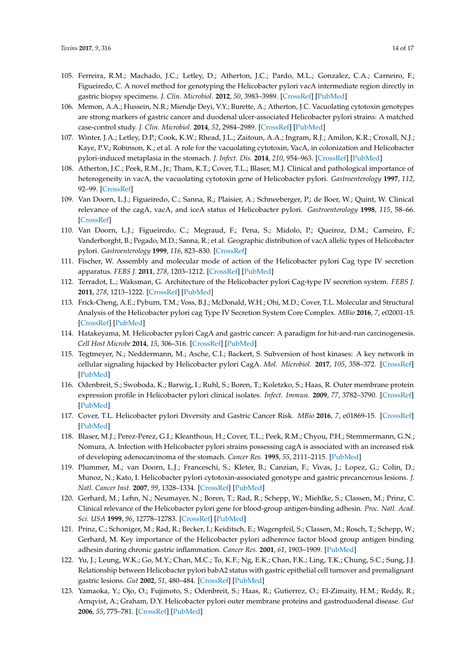- 105. Ferreira, R.M.; Machado, J.C.; Letley, D.; Atherton, J.C.; Pardo, M.L.; Gonzalez, C.A.; Carneiro, F.; Figueiredo, C. A novel method for genotyping the Helicobacter pylori vacA intermediate region directly in gastric biopsy specimens. *J. Clin. Microbiol.* **2012**, *50*, 3983–3989. [\[CrossRef\]](http://dx.doi.org/10.1128/JCM.02087-12) [\[PubMed\]](http://www.ncbi.nlm.nih.gov/pubmed/23035185)
- 106. Memon, A.A.; Hussein, N.R.; Miendje Deyi, V.Y.; Burette, A.; Atherton, J.C. Vacuolating cytotoxin genotypes are strong markers of gastric cancer and duodenal ulcer-associated Helicobacter pylori strains: A matched case-control study. *J. Clin. Microbiol.* **2014**, *52*, 2984–2989. [\[CrossRef\]](http://dx.doi.org/10.1128/JCM.00551-14) [\[PubMed\]](http://www.ncbi.nlm.nih.gov/pubmed/24920772)
- <span id="page-13-0"></span>107. Winter, J.A.; Letley, D.P.; Cook, K.W.; Rhead, J.L.; Zaitoun, A.A.; Ingram, R.J.; Amilon, K.R.; Croxall, N.J.; Kaye, P.V.; Robinson, K.; et al. A role for the vacuolating cytotoxin, VacA, in colonization and Helicobacter pylori-induced metaplasia in the stomach. *J. Infect. Dis.* **2014**, *210*, 954–963. [\[CrossRef\]](http://dx.doi.org/10.1093/infdis/jiu154) [\[PubMed\]](http://www.ncbi.nlm.nih.gov/pubmed/24625807)
- <span id="page-13-1"></span>108. Atherton, J.C.; Peek, R.M., Jr.; Tham, K.T.; Cover, T.L.; Blaser, M.J. Clinical and pathological importance of heterogeneity in vacA, the vacuolating cytotoxin gene of Helicobacter pylori. *Gastroenterology* **1997**, *112*, 92–99. [\[CrossRef\]](http://dx.doi.org/10.1016/S0016-5085(97)70223-3)
- <span id="page-13-12"></span>109. Van Doorn, L.J.; Figueiredo, C.; Sanna, R.; Plaisier, A.; Schneeberger, P.; de Boer, W.; Quint, W. Clinical relevance of the cagA, vacA, and iceA status of Helicobacter pylori. *Gastroenterology* **1998**, *115*, 58–66. [\[CrossRef\]](http://dx.doi.org/10.1016/S0016-5085(98)70365-8)
- <span id="page-13-2"></span>110. Van Doorn, L.J.; Figueiredo, C.; Megraud, F.; Pena, S.; Midolo, P.; Queiroz, D.M.; Carneiro, F.; Vanderborght, B.; Pegado, M.D.; Sanna, R.; et al. Geographic distribution of vacA allelic types of Helicobacter pylori. *Gastroenterology* **1999**, *116*, 823–830. [\[CrossRef\]](http://dx.doi.org/10.1016/S0016-5085(99)70065-X)
- <span id="page-13-3"></span>111. Fischer, W. Assembly and molecular mode of action of the Helicobacter pylori Cag type IV secretion apparatus. *FEBS J.* **2011**, *278*, 1203–1212. [\[CrossRef\]](http://dx.doi.org/10.1111/j.1742-4658.2011.08036.x) [\[PubMed\]](http://www.ncbi.nlm.nih.gov/pubmed/21352490)
- 112. Terradot, L.; Waksman, G. Architecture of the Helicobacter pylori Cag-type IV secretion system. *FEBS J.* **2011**, *278*, 1213–1222. [\[CrossRef\]](http://dx.doi.org/10.1111/j.1742-4658.2011.08037.x) [\[PubMed\]](http://www.ncbi.nlm.nih.gov/pubmed/21352491)
- <span id="page-13-4"></span>113. Frick-Cheng, A.E.; Pyburn, T.M.; Voss, B.J.; McDonald, W.H.; Ohi, M.D.; Cover, T.L. Molecular and Structural Analysis of the Helicobacter pylori cag Type IV Secretion System Core Complex. *MBio* **2016**, *7*, e02001-15. [\[CrossRef\]](http://dx.doi.org/10.1128/mBio.02001-15) [\[PubMed\]](http://www.ncbi.nlm.nih.gov/pubmed/26758182)
- <span id="page-13-5"></span>114. Hatakeyama, M. Helicobacter pylori CagA and gastric cancer: A paradigm for hit-and-run carcinogenesis. *Cell Host Microbe* **2014**, *15*, 306–316. [\[CrossRef\]](http://dx.doi.org/10.1016/j.chom.2014.02.008) [\[PubMed\]](http://www.ncbi.nlm.nih.gov/pubmed/24629337)
- <span id="page-13-6"></span>115. Tegtmeyer, N.; Neddermann, M.; Asche, C.I.; Backert, S. Subversion of host kinases: A key network in cellular signaling hijacked by Helicobacter pylori CagA. *Mol. Microbiol.* **2017**, *105*, 358–372. [\[CrossRef\]](http://dx.doi.org/10.1111/mmi.13707) [\[PubMed\]](http://www.ncbi.nlm.nih.gov/pubmed/28508421)
- <span id="page-13-7"></span>116. Odenbreit, S.; Swoboda, K.; Barwig, I.; Ruhl, S.; Boren, T.; Koletzko, S.; Haas, R. Outer membrane protein expression profile in Helicobacter pylori clinical isolates. *Infect. Immun.* **2009**, *77*, 3782–3790. [\[CrossRef\]](http://dx.doi.org/10.1128/IAI.00364-09) [\[PubMed\]](http://www.ncbi.nlm.nih.gov/pubmed/19546190)
- <span id="page-13-8"></span>117. Cover, T.L. Helicobacter pylori Diversity and Gastric Cancer Risk. *MBio* **2016**, *7*, e01869-15. [\[CrossRef\]](http://dx.doi.org/10.1128/mBio.01869-15) [\[PubMed\]](http://www.ncbi.nlm.nih.gov/pubmed/26814181)
- <span id="page-13-9"></span>118. Blaser, M.J.; Perez-Perez, G.I.; Kleanthous, H.; Cover, T.L.; Peek, R.M.; Chyou, P.H.; Stemmermann, G.N.; Nomura, A. Infection with Helicobacter pylori strains possessing cagA is associated with an increased risk of developing adenocarcinoma of the stomach. *Cancer Res.* **1995**, *55*, 2111–2115. [\[PubMed\]](http://www.ncbi.nlm.nih.gov/pubmed/7743510)
- <span id="page-13-10"></span>119. Plummer, M.; van Doorn, L.J.; Franceschi, S.; Kleter, B.; Canzian, F.; Vivas, J.; Lopez, G.; Colin, D.; Munoz, N.; Kato, I. Helicobacter pylori cytotoxin-associated genotype and gastric precancerous lesions. *J. Natl. Cancer Inst.* **2007**, *99*, 1328–1334. [\[CrossRef\]](http://dx.doi.org/10.1093/jnci/djm120) [\[PubMed\]](http://www.ncbi.nlm.nih.gov/pubmed/17728213)
- <span id="page-13-11"></span>120. Gerhard, M.; Lehn, N.; Neumayer, N.; Boren, T.; Rad, R.; Schepp, W.; Miehlke, S.; Classen, M.; Prinz, C. Clinical relevance of the Helicobacter pylori gene for blood-group antigen-binding adhesin. *Proc. Natl. Acad. Sci. USA* **1999**, *96*, 12778–12783. [\[CrossRef\]](http://dx.doi.org/10.1073/pnas.96.22.12778) [\[PubMed\]](http://www.ncbi.nlm.nih.gov/pubmed/10535999)
- 121. Prinz, C.; Schoniger, M.; Rad, R.; Becker, I.; Keiditsch, E.; Wagenpfeil, S.; Classen, M.; Rosch, T.; Schepp, W.; Gerhard, M. Key importance of the Helicobacter pylori adherence factor blood group antigen binding adhesin during chronic gastric inflammation. *Cancer Res.* **2001**, *61*, 1903–1909. [\[PubMed\]](http://www.ncbi.nlm.nih.gov/pubmed/11280745)
- 122. Yu, J.; Leung, W.K.; Go, M.Y.; Chan, M.C.; To, K.F.; Ng, E.K.; Chan, F.K.; Ling, T.K.; Chung, S.C.; Sung, J.J. Relationship between Helicobacter pylori babA2 status with gastric epithelial cell turnover and premalignant gastric lesions. *Gut* **2002**, *51*, 480–484. [\[CrossRef\]](http://dx.doi.org/10.1136/gut.51.4.480) [\[PubMed\]](http://www.ncbi.nlm.nih.gov/pubmed/12235067)
- 123. Yamaoka, Y.; Ojo, O.; Fujimoto, S.; Odenbreit, S.; Haas, R.; Gutierrez, O.; El-Zimaity, H.M.; Reddy, R.; Arnqvist, A.; Graham, D.Y. Helicobacter pylori outer membrane proteins and gastroduodenal disease. *Gut* **2006**, *55*, 775–781. [\[CrossRef\]](http://dx.doi.org/10.1136/gut.2005.083014) [\[PubMed\]](http://www.ncbi.nlm.nih.gov/pubmed/16322107)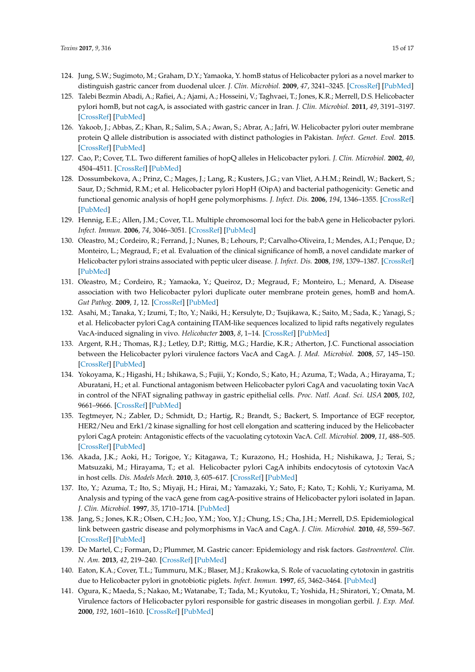- 124. Jung, S.W.; Sugimoto, M.; Graham, D.Y.; Yamaoka, Y. homB status of Helicobacter pylori as a novel marker to distinguish gastric cancer from duodenal ulcer. *J. Clin. Microbiol.* **2009**, *47*, 3241–3245. [\[CrossRef\]](http://dx.doi.org/10.1128/JCM.00293-09) [\[PubMed\]](http://www.ncbi.nlm.nih.gov/pubmed/19710266)
- 125. Talebi Bezmin Abadi, A.; Rafiei, A.; Ajami, A.; Hosseini, V.; Taghvaei, T.; Jones, K.R.; Merrell, D.S. Helicobacter pylori homB, but not cagA, is associated with gastric cancer in Iran. *J. Clin. Microbiol.* **2011**, *49*, 3191–3197. [\[CrossRef\]](http://dx.doi.org/10.1128/JCM.00947-11) [\[PubMed\]](http://www.ncbi.nlm.nih.gov/pubmed/21734027)
- <span id="page-14-0"></span>126. Yakoob, J.; Abbas, Z.; Khan, R.; Salim, S.A.; Awan, S.; Abrar, A.; Jafri, W. Helicobacter pylori outer membrane protein Q allele distribution is associated with distinct pathologies in Pakistan. *Infect. Genet. Evol.* **2015**. [\[CrossRef\]](http://dx.doi.org/10.1016/j.meegid.2015.10.027) [\[PubMed\]](http://www.ncbi.nlm.nih.gov/pubmed/26516025)
- <span id="page-14-1"></span>127. Cao, P.; Cover, T.L. Two different families of hopQ alleles in Helicobacter pylori. *J. Clin. Microbiol.* **2002**, *40*, 4504–4511. [\[CrossRef\]](http://dx.doi.org/10.1128/JCM.40.12.4504-4511.2002) [\[PubMed\]](http://www.ncbi.nlm.nih.gov/pubmed/12454143)
- 128. Dossumbekova, A.; Prinz, C.; Mages, J.; Lang, R.; Kusters, J.G.; van Vliet, A.H.M.; Reindl, W.; Backert, S.; Saur, D.; Schmid, R.M.; et al. Helicobacter pylori HopH (OipA) and bacterial pathogenicity: Genetic and functional genomic analysis of hopH gene polymorphisms. *J. Infect. Dis.* **2006**, *194*, 1346–1355. [\[CrossRef\]](http://dx.doi.org/10.1086/508426) [\[PubMed\]](http://www.ncbi.nlm.nih.gov/pubmed/17054063)
- 129. Hennig, E.E.; Allen, J.M.; Cover, T.L. Multiple chromosomal loci for the babA gene in Helicobacter pylori. *Infect. Immun.* **2006**, *74*, 3046–3051. [\[CrossRef\]](http://dx.doi.org/10.1128/IAI.74.5.3046-3051.2006) [\[PubMed\]](http://www.ncbi.nlm.nih.gov/pubmed/16622249)
- 130. Oleastro, M.; Cordeiro, R.; Ferrand, J.; Nunes, B.; Lehours, P.; Carvalho-Oliveira, I.; Mendes, A.I.; Penque, D.; Monteiro, L.; Megraud, F.; et al. Evaluation of the clinical significance of homB, a novel candidate marker of Helicobacter pylori strains associated with peptic ulcer disease. *J. Infect. Dis.* **2008**, *198*, 1379–1387. [\[CrossRef\]](http://dx.doi.org/10.1086/592166) [\[PubMed\]](http://www.ncbi.nlm.nih.gov/pubmed/18811585)
- <span id="page-14-2"></span>131. Oleastro, M.; Cordeiro, R.; Yamaoka, Y.; Queiroz, D.; Megraud, F.; Monteiro, L.; Menard, A. Disease association with two Helicobacter pylori duplicate outer membrane protein genes, homB and homA. *Gut Pathog.* **2009**, *1*, 12. [\[CrossRef\]](http://dx.doi.org/10.1186/1757-4749-1-12) [\[PubMed\]](http://www.ncbi.nlm.nih.gov/pubmed/19545429)
- <span id="page-14-3"></span>132. Asahi, M.; Tanaka, Y.; Izumi, T.; Ito, Y.; Naiki, H.; Kersulyte, D.; Tsujikawa, K.; Saito, M.; Sada, K.; Yanagi, S.; et al. Helicobacter pylori CagA containing ITAM-like sequences localized to lipid rafts negatively regulates VacA-induced signaling in vivo. *Helicobacter* **2003**, *8*, 1–14. [\[CrossRef\]](http://dx.doi.org/10.1046/j.1523-5378.2003.00118.x) [\[PubMed\]](http://www.ncbi.nlm.nih.gov/pubmed/12603611)
- 133. Argent, R.H.; Thomas, R.J.; Letley, D.P.; Rittig, M.G.; Hardie, K.R.; Atherton, J.C. Functional association between the Helicobacter pylori virulence factors VacA and CagA. *J. Med. Microbiol.* **2008**, *57*, 145–150. [\[CrossRef\]](http://dx.doi.org/10.1099/jmm.0.47465-0) [\[PubMed\]](http://www.ncbi.nlm.nih.gov/pubmed/18201978)
- 134. Yokoyama, K.; Higashi, H.; Ishikawa, S.; Fujii, Y.; Kondo, S.; Kato, H.; Azuma, T.; Wada, A.; Hirayama, T.; Aburatani, H.; et al. Functional antagonism between Helicobacter pylori CagA and vacuolating toxin VacA in control of the NFAT signaling pathway in gastric epithelial cells. *Proc. Natl. Acad. Sci. USA* **2005**, *102*, 9661–9666. [\[CrossRef\]](http://dx.doi.org/10.1073/pnas.0502529102) [\[PubMed\]](http://www.ncbi.nlm.nih.gov/pubmed/15980153)
- 135. Tegtmeyer, N.; Zabler, D.; Schmidt, D.; Hartig, R.; Brandt, S.; Backert, S. Importance of EGF receptor, HER2/Neu and Erk1/2 kinase signalling for host cell elongation and scattering induced by the Helicobacter pylori CagA protein: Antagonistic effects of the vacuolating cytotoxin VacA. *Cell. Microbiol.* **2009**, *11*, 488–505. [\[CrossRef\]](http://dx.doi.org/10.1111/j.1462-5822.2008.01269.x) [\[PubMed\]](http://www.ncbi.nlm.nih.gov/pubmed/19046339)
- <span id="page-14-4"></span>136. Akada, J.K.; Aoki, H.; Torigoe, Y.; Kitagawa, T.; Kurazono, H.; Hoshida, H.; Nishikawa, J.; Terai, S.; Matsuzaki, M.; Hirayama, T.; et al. Helicobacter pylori CagA inhibits endocytosis of cytotoxin VacA in host cells. *Dis. Models Mech.* **2010**, *3*, 605–617. [\[CrossRef\]](http://dx.doi.org/10.1242/dmm.004879) [\[PubMed\]](http://www.ncbi.nlm.nih.gov/pubmed/20682750)
- <span id="page-14-5"></span>137. Ito, Y.; Azuma, T.; Ito, S.; Miyaji, H.; Hirai, M.; Yamazaki, Y.; Sato, F.; Kato, T.; Kohli, Y.; Kuriyama, M. Analysis and typing of the vacA gene from cagA-positive strains of Helicobacter pylori isolated in Japan. *J. Clin. Microbiol.* **1997**, *35*, 1710–1714. [\[PubMed\]](http://www.ncbi.nlm.nih.gov/pubmed/9196179)
- <span id="page-14-6"></span>138. Jang, S.; Jones, K.R.; Olsen, C.H.; Joo, Y.M.; Yoo, Y.J.; Chung, I.S.; Cha, J.H.; Merrell, D.S. Epidemiological link between gastric disease and polymorphisms in VacA and CagA. *J. Clin. Microbiol.* **2010**, *48*, 559–567. [\[CrossRef\]](http://dx.doi.org/10.1128/JCM.01501-09) [\[PubMed\]](http://www.ncbi.nlm.nih.gov/pubmed/19955279)
- <span id="page-14-7"></span>139. De Martel, C.; Forman, D.; Plummer, M. Gastric cancer: Epidemiology and risk factors. *Gastroenterol. Clin. N. Am.* **2013**, *42*, 219–240. [\[CrossRef\]](http://dx.doi.org/10.1016/j.gtc.2013.01.003) [\[PubMed\]](http://www.ncbi.nlm.nih.gov/pubmed/23639638)
- <span id="page-14-8"></span>140. Eaton, K.A.; Cover, T.L.; Tummuru, M.K.; Blaser, M.J.; Krakowka, S. Role of vacuolating cytotoxin in gastritis due to Helicobacter pylori in gnotobiotic piglets. *Infect. Immun.* **1997**, *65*, 3462–3464. [\[PubMed\]](http://www.ncbi.nlm.nih.gov/pubmed/9234813)
- <span id="page-14-9"></span>141. Ogura, K.; Maeda, S.; Nakao, M.; Watanabe, T.; Tada, M.; Kyutoku, T.; Yoshida, H.; Shiratori, Y.; Omata, M. Virulence factors of Helicobacter pylori responsible for gastric diseases in mongolian gerbil. *J. Exp. Med.* **2000**, *192*, 1601–1610. [\[CrossRef\]](http://dx.doi.org/10.1084/jem.192.11.1601) [\[PubMed\]](http://www.ncbi.nlm.nih.gov/pubmed/11104802)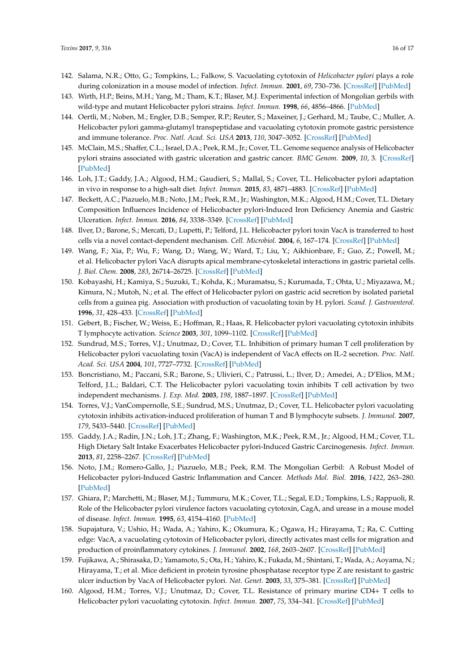- <span id="page-15-3"></span>142. Salama, N.R.; Otto, G.; Tompkins, L.; Falkow, S. Vacuolating cytotoxin of *Helicobacter pylori* plays a role during colonization in a mouse model of infection. *Infect. Immun.* **2001**, *69*, 730–736. [\[CrossRef\]](http://dx.doi.org/10.1128/IAI.69.2.730-736.2001) [\[PubMed\]](http://www.ncbi.nlm.nih.gov/pubmed/11159961)
- <span id="page-15-13"></span>143. Wirth, H.P.; Beins, M.H.; Yang, M.; Tham, K.T.; Blaser, M.J. Experimental infection of Mongolian gerbils with wild-type and mutant Helicobacter pylori strains. *Infect. Immun.* **1998**, *66*, 4856–4866. [\[PubMed\]](http://www.ncbi.nlm.nih.gov/pubmed/9746590)
- <span id="page-15-0"></span>144. Oertli, M.; Noben, M.; Engler, D.B.; Semper, R.P.; Reuter, S.; Maxeiner, J.; Gerhard, M.; Taube, C.; Muller, A. Helicobacter pylori gamma-glutamyl transpeptidase and vacuolating cytotoxin promote gastric persistence and immune tolerance. *Proc. Natl. Acad. Sci. USA* **2013**, *110*, 3047–3052. [\[CrossRef\]](http://dx.doi.org/10.1073/pnas.1211248110) [\[PubMed\]](http://www.ncbi.nlm.nih.gov/pubmed/23382221)
- <span id="page-15-1"></span>145. McClain, M.S.; Shaffer, C.L.; Israel, D.A.; Peek, R.M., Jr.; Cover, T.L. Genome sequence analysis of Helicobacter pylori strains associated with gastric ulceration and gastric cancer. *BMC Genom.* **2009**, *10*, 3. [\[CrossRef\]](http://dx.doi.org/10.1186/1471-2164-10-3) [\[PubMed\]](http://www.ncbi.nlm.nih.gov/pubmed/19123947)
- 146. Loh, J.T.; Gaddy, J.A.; Algood, H.M.; Gaudieri, S.; Mallal, S.; Cover, T.L. Helicobacter pylori adaptation in vivo in response to a high-salt diet. *Infect. Immun.* **2015**, *83*, 4871–4883. [\[CrossRef\]](http://dx.doi.org/10.1128/IAI.00918-15) [\[PubMed\]](http://www.ncbi.nlm.nih.gov/pubmed/26438795)
- <span id="page-15-2"></span>147. Beckett, A.C.; Piazuelo, M.B.; Noto, J.M.; Peek, R.M., Jr.; Washington, M.K.; Algood, H.M.; Cover, T.L. Dietary Composition Influences Incidence of Helicobacter pylori-Induced Iron Deficiency Anemia and Gastric Ulceration. *Infect. Immun.* **2016**, *84*, 3338–3349. [\[CrossRef\]](http://dx.doi.org/10.1128/IAI.00479-16) [\[PubMed\]](http://www.ncbi.nlm.nih.gov/pubmed/27620719)
- <span id="page-15-4"></span>148. Ilver, D.; Barone, S.; Mercati, D.; Lupetti, P.; Telford, J.L. Helicobacter pylori toxin VacA is transferred to host cells via a novel contact-dependent mechanism. *Cell. Microbiol.* **2004**, *6*, 167–174. [\[CrossRef\]](http://dx.doi.org/10.1046/j.1462-5822.2003.00349.x) [\[PubMed\]](http://www.ncbi.nlm.nih.gov/pubmed/14706102)
- <span id="page-15-5"></span>149. Wang, F.; Xia, P.; Wu, F.; Wang, D.; Wang, W.; Ward, T.; Liu, Y.; Aikhionbare, F.; Guo, Z.; Powell, M.; et al. Helicobacter pylori VacA disrupts apical membrane-cytoskeletal interactions in gastric parietal cells. *J. Biol. Chem.* **2008**, *283*, 26714–26725. [\[CrossRef\]](http://dx.doi.org/10.1074/jbc.M800527200) [\[PubMed\]](http://www.ncbi.nlm.nih.gov/pubmed/18625712)
- <span id="page-15-6"></span>150. Kobayashi, H.; Kamiya, S.; Suzuki, T.; Kohda, K.; Muramatsu, S.; Kurumada, T.; Ohta, U.; Miyazawa, M.; Kimura, N.; Mutoh, N.; et al. The effect of Helicobacter pylori on gastric acid secretion by isolated parietal cells from a guinea pig. Association with production of vacuolating toxin by H. pylori. *Scand. J. Gastroenterol.* **1996**, *31*, 428–433. [\[CrossRef\]](http://dx.doi.org/10.3109/00365529609006760) [\[PubMed\]](http://www.ncbi.nlm.nih.gov/pubmed/8734337)
- <span id="page-15-7"></span>151. Gebert, B.; Fischer, W.; Weiss, E.; Hoffman, R.; Haas, R. Helicobacter pylori vacuolating cytotoxin inhibits T lymphocyte activation. *Science* **2003**, *301*, 1099–1102. [\[CrossRef\]](http://dx.doi.org/10.1126/science.1086871) [\[PubMed\]](http://www.ncbi.nlm.nih.gov/pubmed/12934009)
- 152. Sundrud, M.S.; Torres, V.J.; Unutmaz, D.; Cover, T.L. Inhibition of primary human T cell proliferation by Helicobacter pylori vacuolating toxin (VacA) is independent of VacA effects on IL-2 secretion. *Proc. Natl. Acad. Sci. USA* **2004**, *101*, 7727–7732. [\[CrossRef\]](http://dx.doi.org/10.1073/pnas.0401528101) [\[PubMed\]](http://www.ncbi.nlm.nih.gov/pubmed/15128946)
- <span id="page-15-15"></span>153. Boncristiano, M.; Paccani, S.R.; Barone, S.; Ulivieri, C.; Patrussi, L.; Ilver, D.; Amedei, A.; D'Elios, M.M.; Telford, J.L.; Baldari, C.T. The Helicobacter pylori vacuolating toxin inhibits T cell activation by two independent mechanisms. *J. Exp. Med.* **2003**, *198*, 1887–1897. [\[CrossRef\]](http://dx.doi.org/10.1084/jem.20030621) [\[PubMed\]](http://www.ncbi.nlm.nih.gov/pubmed/14676300)
- <span id="page-15-8"></span>154. Torres, V.J.; VanCompernolle, S.E.; Sundrud, M.S.; Unutmaz, D.; Cover, T.L. Helicobacter pylori vacuolating cytotoxin inhibits activation-induced proliferation of human T and B lymphocyte subsets. *J. Immunol.* **2007**, *179*, 5433–5440. [\[CrossRef\]](http://dx.doi.org/10.4049/jimmunol.179.8.5433) [\[PubMed\]](http://www.ncbi.nlm.nih.gov/pubmed/17911630)
- <span id="page-15-9"></span>155. Gaddy, J.A.; Radin, J.N.; Loh, J.T.; Zhang, F.; Washington, M.K.; Peek, R.M., Jr.; Algood, H.M.; Cover, T.L. High Dietary Salt Intake Exacerbates Helicobacter pylori-Induced Gastric Carcinogenesis. *Infect. Immun.* **2013**, *81*, 2258–2267. [\[CrossRef\]](http://dx.doi.org/10.1128/IAI.01271-12) [\[PubMed\]](http://www.ncbi.nlm.nih.gov/pubmed/23569116)
- <span id="page-15-10"></span>156. Noto, J.M.; Romero-Gallo, J.; Piazuelo, M.B.; Peek, R.M. The Mongolian Gerbil: A Robust Model of Helicobacter pylori-Induced Gastric Inflammation and Cancer. *Methods Mol. Biol.* **2016**, *1422*, 263–280. [\[PubMed\]](http://www.ncbi.nlm.nih.gov/pubmed/27246040)
- <span id="page-15-11"></span>157. Ghiara, P.; Marchetti, M.; Blaser, M.J.; Tummuru, M.K.; Cover, T.L.; Segal, E.D.; Tompkins, L.S.; Rappuoli, R. Role of the Helicobacter pylori virulence factors vacuolating cytotoxin, CagA, and urease in a mouse model of disease. *Infect. Immun.* **1995**, *63*, 4154–4160. [\[PubMed\]](http://www.ncbi.nlm.nih.gov/pubmed/7558333)
- <span id="page-15-16"></span>158. Supajatura, V.; Ushio, H.; Wada, A.; Yahiro, K.; Okumura, K.; Ogawa, H.; Hirayama, T.; Ra, C. Cutting edge: VacA, a vacuolating cytotoxin of Helicobacter pylori, directly activates mast cells for migration and production of proinflammatory cytokines. *J. Immunol.* **2002**, *168*, 2603–2607. [\[CrossRef\]](http://dx.doi.org/10.4049/jimmunol.168.6.2603) [\[PubMed\]](http://www.ncbi.nlm.nih.gov/pubmed/11884423)
- <span id="page-15-12"></span>159. Fujikawa, A.; Shirasaka, D.; Yamamoto, S.; Ota, H.; Yahiro, K.; Fukada, M.; Shintani, T.; Wada, A.; Aoyama, N.; Hirayama, T.; et al. Mice deficient in protein tyrosine phosphatase receptor type Z are resistant to gastric ulcer induction by VacA of Helicobacter pylori. *Nat. Genet.* **2003**, *33*, 375–381. [\[CrossRef\]](http://dx.doi.org/10.1038/ng1112) [\[PubMed\]](http://www.ncbi.nlm.nih.gov/pubmed/12598897)
- <span id="page-15-14"></span>160. Algood, H.M.; Torres, V.J.; Unutmaz, D.; Cover, T.L. Resistance of primary murine CD4+ T cells to Helicobacter pylori vacuolating cytotoxin. *Infect. Immun.* **2007**, *75*, 334–341. [\[CrossRef\]](http://dx.doi.org/10.1128/IAI.01063-06) [\[PubMed\]](http://www.ncbi.nlm.nih.gov/pubmed/17074854)